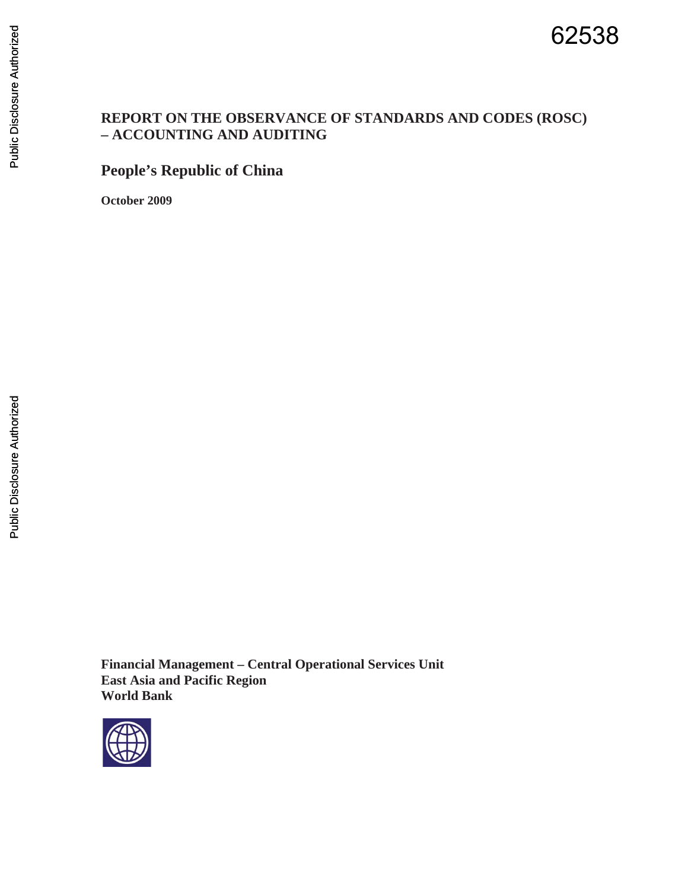### **REPORT ON THE OBSERVANCE OF STANDARDS AND CODES (ROSC) – ACCOUNTING AND AUDITING**

# **People's Republic of China**

**October 2009** 

**Financial Management – Central Operational Services Unit East Asia and Pacific Region World Bank** 

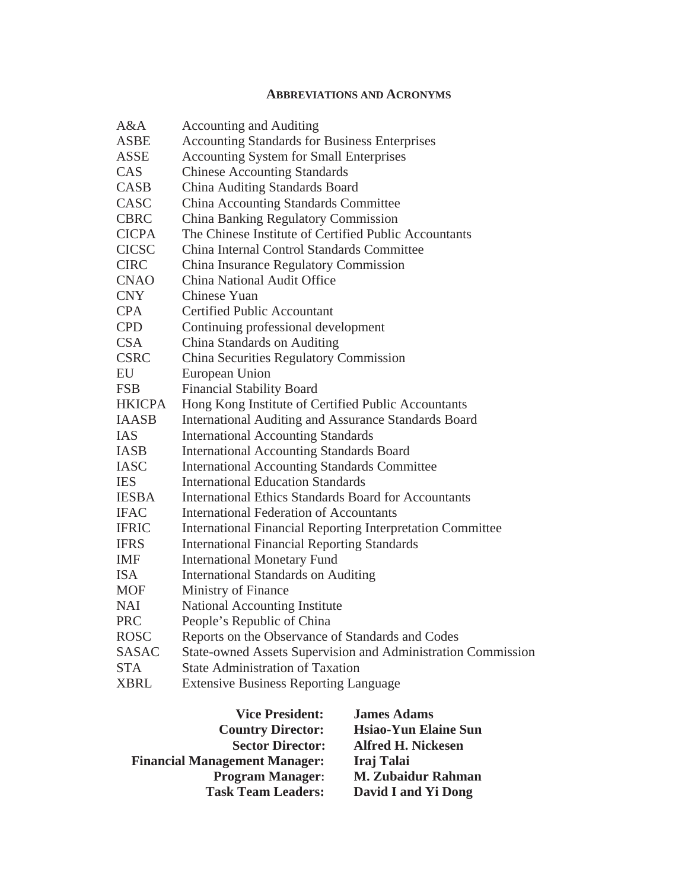#### **ABBREVIATIONS AND ACRONYMS**

| A&A           | <b>Accounting and Auditing</b>                                    |
|---------------|-------------------------------------------------------------------|
| <b>ASBE</b>   | <b>Accounting Standards for Business Enterprises</b>              |
| ASSE          | <b>Accounting System for Small Enterprises</b>                    |
| CAS           | <b>Chinese Accounting Standards</b>                               |
| CASB          | China Auditing Standards Board                                    |
| CASC          | <b>China Accounting Standards Committee</b>                       |
| <b>CBRC</b>   | <b>China Banking Regulatory Commission</b>                        |
| <b>CICPA</b>  | The Chinese Institute of Certified Public Accountants             |
| <b>CICSC</b>  | China Internal Control Standards Committee                        |
| <b>CIRC</b>   | China Insurance Regulatory Commission                             |
| <b>CNAO</b>   | China National Audit Office                                       |
| <b>CNY</b>    | <b>Chinese Yuan</b>                                               |
| <b>CPA</b>    | <b>Certified Public Accountant</b>                                |
| <b>CPD</b>    | Continuing professional development                               |
| <b>CSA</b>    | China Standards on Auditing                                       |
| <b>CSRC</b>   | China Securities Regulatory Commission                            |
| EU            | European Union                                                    |
| <b>FSB</b>    | <b>Financial Stability Board</b>                                  |
| <b>HKICPA</b> | Hong Kong Institute of Certified Public Accountants               |
| <b>IAASB</b>  | <b>International Auditing and Assurance Standards Board</b>       |
| <b>IAS</b>    | <b>International Accounting Standards</b>                         |
| <b>IASB</b>   | <b>International Accounting Standards Board</b>                   |
| <b>IASC</b>   | <b>International Accounting Standards Committee</b>               |
| <b>IES</b>    | <b>International Education Standards</b>                          |
| <b>IESBA</b>  | <b>International Ethics Standards Board for Accountants</b>       |
| <b>IFAC</b>   | <b>International Federation of Accountants</b>                    |
| <b>IFRIC</b>  | <b>International Financial Reporting Interpretation Committee</b> |
| <b>IFRS</b>   | <b>International Financial Reporting Standards</b>                |
| <b>IMF</b>    | <b>International Monetary Fund</b>                                |
| <b>ISA</b>    | <b>International Standards on Auditing</b>                        |
| <b>MOF</b>    | Ministry of Finance                                               |
| <b>NAI</b>    | National Accounting Institute                                     |
| <b>PRC</b>    | People's Republic of China                                        |
| <b>ROSC</b>   | Reports on the Observance of Standards and Codes                  |
| <b>SASAC</b>  | State-owned Assets Supervision and Administration Commission      |
| <b>STA</b>    | <b>State Administration of Taxation</b>                           |
| <b>XBRL</b>   | <b>Extensive Business Reporting Language</b>                      |

| <b>Vice President:</b>               | <b>James Adams</b>          |
|--------------------------------------|-----------------------------|
| <b>Country Director:</b>             | <b>Hsiao-Yun Elaine Sun</b> |
| <b>Sector Director:</b>              | <b>Alfred H. Nickesen</b>   |
| <b>Financial Management Manager:</b> | Iraj Talai                  |
| <b>Program Manager:</b>              | <b>M. Zubaidur Rahman</b>   |
| <b>Task Team Leaders:</b>            | David I and Yi Dong         |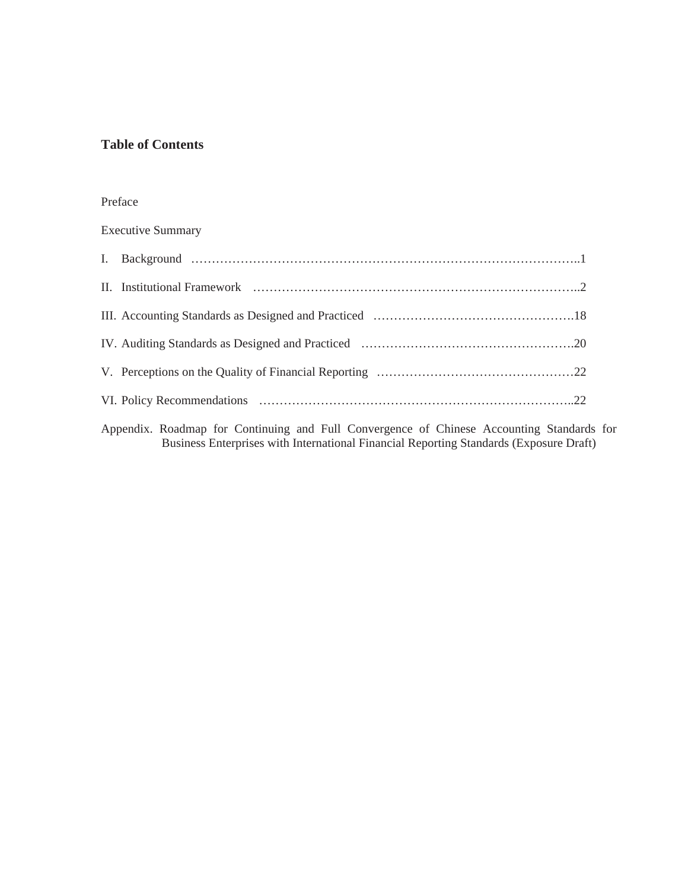#### **Table of Contents**

#### Preface

Executive Summary

Appendix. Roadmap for Continuing and Full Convergence of Chinese Accounting Standards for Business Enterprises with International Financial Reporting Standards (Exposure Draft)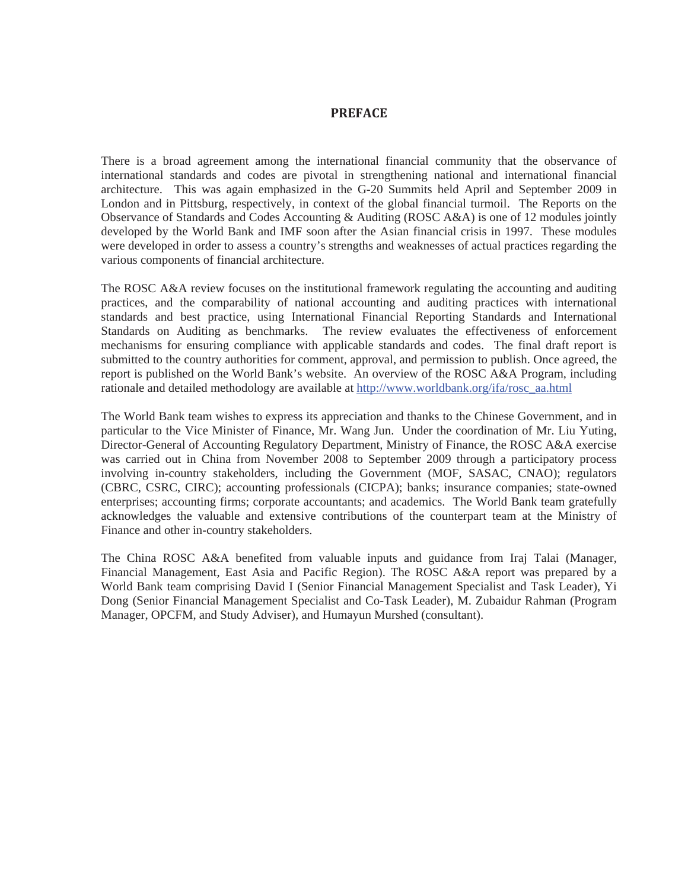#### **PREFACE**

There is a broad agreement among the international financial community that the observance of international standards and codes are pivotal in strengthening national and international financial architecture. This was again emphasized in the G-20 Summits held April and September 2009 in London and in Pittsburg, respectively, in context of the global financial turmoil. The Reports on the Observance of Standards and Codes Accounting & Auditing (ROSC A&A) is one of 12 modules jointly developed by the World Bank and IMF soon after the Asian financial crisis in 1997. These modules were developed in order to assess a country's strengths and weaknesses of actual practices regarding the various components of financial architecture.

The ROSC A&A review focuses on the institutional framework regulating the accounting and auditing practices, and the comparability of national accounting and auditing practices with international standards and best practice, using International Financial Reporting Standards and International Standards on Auditing as benchmarks. The review evaluates the effectiveness of enforcement mechanisms for ensuring compliance with applicable standards and codes. The final draft report is submitted to the country authorities for comment, approval, and permission to publish. Once agreed, the report is published on the World Bank's website. An overview of the ROSC A&A Program, including rationale and detailed methodology are available at http://www.worldbank.org/ifa/rosc\_aa.html

The World Bank team wishes to express its appreciation and thanks to the Chinese Government, and in particular to the Vice Minister of Finance, Mr. Wang Jun. Under the coordination of Mr. Liu Yuting, Director-General of Accounting Regulatory Department, Ministry of Finance, the ROSC A&A exercise was carried out in China from November 2008 to September 2009 through a participatory process involving in-country stakeholders, including the Government (MOF, SASAC, CNAO); regulators (CBRC, CSRC, CIRC); accounting professionals (CICPA); banks; insurance companies; state-owned enterprises; accounting firms; corporate accountants; and academics. The World Bank team gratefully acknowledges the valuable and extensive contributions of the counterpart team at the Ministry of Finance and other in-country stakeholders.

The China ROSC A&A benefited from valuable inputs and guidance from Iraj Talai (Manager, Financial Management, East Asia and Pacific Region). The ROSC A&A report was prepared by a World Bank team comprising David I (Senior Financial Management Specialist and Task Leader), Yi Dong (Senior Financial Management Specialist and Co-Task Leader), M. Zubaidur Rahman (Program Manager, OPCFM, and Study Adviser), and Humayun Murshed (consultant).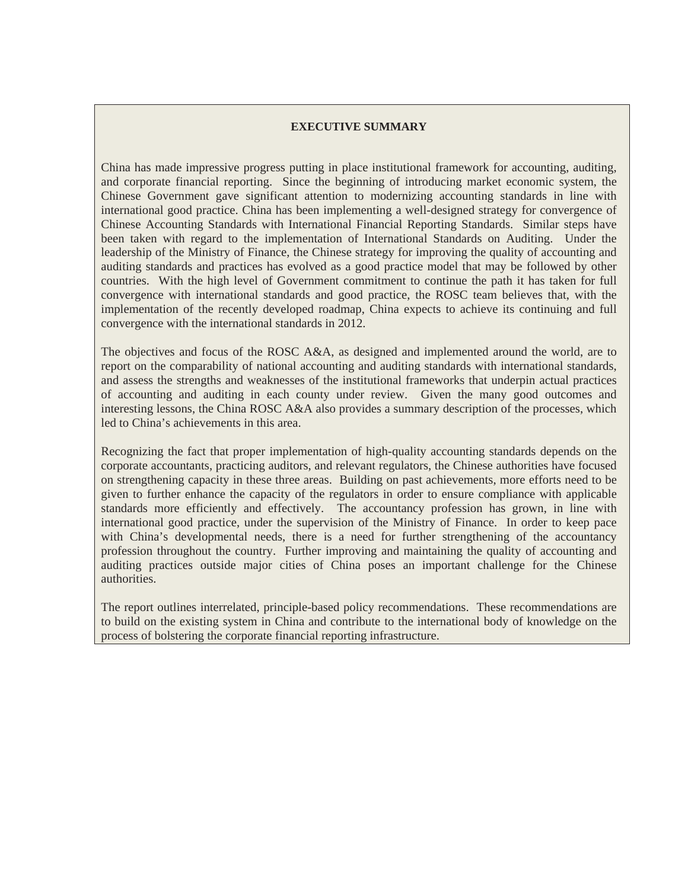#### **EXECUTIVE SUMMARY**

China has made impressive progress putting in place institutional framework for accounting, auditing, and corporate financial reporting. Since the beginning of introducing market economic system, the Chinese Government gave significant attention to modernizing accounting standards in line with international good practice. China has been implementing a well-designed strategy for convergence of Chinese Accounting Standards with International Financial Reporting Standards. Similar steps have been taken with regard to the implementation of International Standards on Auditing. Under the leadership of the Ministry of Finance, the Chinese strategy for improving the quality of accounting and auditing standards and practices has evolved as a good practice model that may be followed by other countries. With the high level of Government commitment to continue the path it has taken for full convergence with international standards and good practice, the ROSC team believes that, with the implementation of the recently developed roadmap, China expects to achieve its continuing and full convergence with the international standards in 2012.

The objectives and focus of the ROSC A&A, as designed and implemented around the world, are to report on the comparability of national accounting and auditing standards with international standards, and assess the strengths and weaknesses of the institutional frameworks that underpin actual practices of accounting and auditing in each county under review. Given the many good outcomes and interesting lessons, the China ROSC A&A also provides a summary description of the processes, which led to China's achievements in this area.

Recognizing the fact that proper implementation of high-quality accounting standards depends on the corporate accountants, practicing auditors, and relevant regulators, the Chinese authorities have focused on strengthening capacity in these three areas. Building on past achievements, more efforts need to be given to further enhance the capacity of the regulators in order to ensure compliance with applicable standards more efficiently and effectively. The accountancy profession has grown, in line with international good practice, under the supervision of the Ministry of Finance. In order to keep pace with China's developmental needs, there is a need for further strengthening of the accountancy profession throughout the country. Further improving and maintaining the quality of accounting and auditing practices outside major cities of China poses an important challenge for the Chinese authorities.

The report outlines interrelated, principle-based policy recommendations. These recommendations are to build on the existing system in China and contribute to the international body of knowledge on the process of bolstering the corporate financial reporting infrastructure.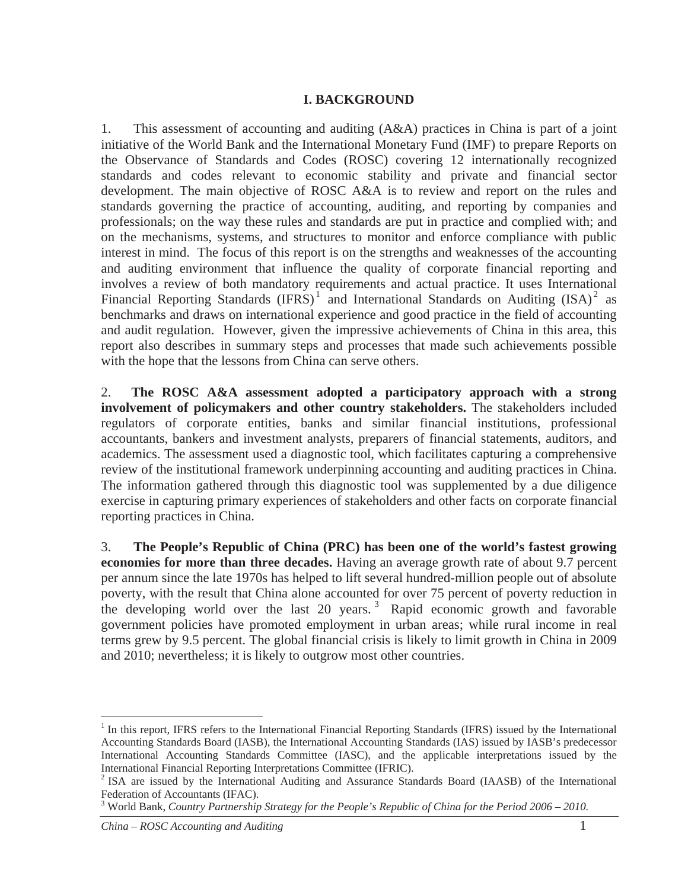### **I. BACKGROUND**

1. This assessment of accounting and auditing (A&A) practices in China is part of a joint initiative of the World Bank and the International Monetary Fund (IMF) to prepare Reports on the Observance of Standards and Codes (ROSC) covering 12 internationally recognized standards and codes relevant to economic stability and private and financial sector development. The main objective of ROSC A&A is to review and report on the rules and standards governing the practice of accounting, auditing, and reporting by companies and professionals; on the way these rules and standards are put in practice and complied with; and on the mechanisms, systems, and structures to monitor and enforce compliance with public interest in mind. The focus of this report is on the strengths and weaknesses of the accounting and auditing environment that influence the quality of corporate financial reporting and involves a review of both mandatory requirements and actual practice. It uses International Financial Reporting Standards  $(IFRS)^1$  and International Standards on Auditing  $(ISA)^2$  as benchmarks and draws on international experience and good practice in the field of accounting and audit regulation. However, given the impressive achievements of China in this area, this report also describes in summary steps and processes that made such achievements possible with the hope that the lessons from China can serve others.

2. **The ROSC A&A assessment adopted a participatory approach with a strong involvement of policymakers and other country stakeholders.** The stakeholders included regulators of corporate entities, banks and similar financial institutions, professional accountants, bankers and investment analysts, preparers of financial statements, auditors, and academics. The assessment used a diagnostic tool, which facilitates capturing a comprehensive review of the institutional framework underpinning accounting and auditing practices in China. The information gathered through this diagnostic tool was supplemented by a due diligence exercise in capturing primary experiences of stakeholders and other facts on corporate financial reporting practices in China.

3. **The People's Republic of China (PRC) has been one of the world's fastest growing economies for more than three decades.** Having an average growth rate of about 9.7 percent per annum since the late 1970s has helped to lift several hundred-million people out of absolute poverty, with the result that China alone accounted for over 75 percent of poverty reduction in the developing world over the last 20 years. 3 Rapid economic growth and favorable government policies have promoted employment in urban areas; while rural income in real terms grew by 9.5 percent. The global financial crisis is likely to limit growth in China in 2009 and 2010; nevertheless; it is likely to outgrow most other countries.

<sup>&</sup>lt;sup>1</sup> In this report, IFRS refers to the International Financial Reporting Standards (IFRS) issued by the International Accounting Standards Board (IASB), the International Accounting Standards (IAS) issued by IASB's predecessor International Accounting Standards Committee (IASC), and the applicable interpretations issued by the International Financial Reporting Interpretations Committee (IFRIC).

<sup>&</sup>lt;sup>2</sup> ISA are issued by the International Auditing and Assurance Standards Board (IAASB) of the International Federation of Accountants (IFAC).

<sup>3</sup> World Bank, *Country Partnership Strategy for the People's Republic of China for the Period 2006 – 2010.*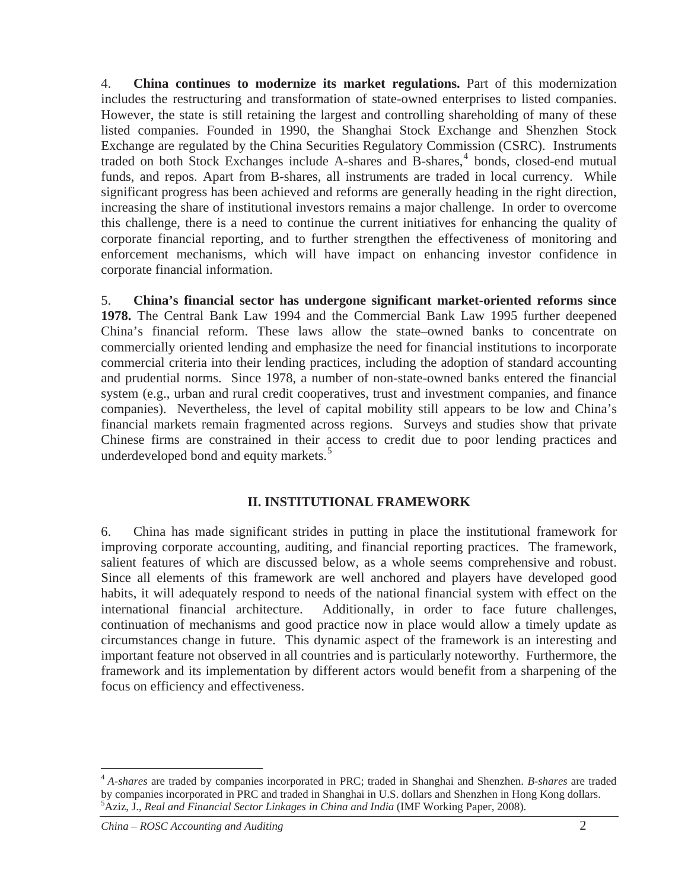4. **China continues to modernize its market regulations.** Part of this modernization includes the restructuring and transformation of state-owned enterprises to listed companies. However, the state is still retaining the largest and controlling shareholding of many of these listed companies. Founded in 1990, the Shanghai Stock Exchange and Shenzhen Stock Exchange are regulated by the China Securities Regulatory Commission (CSRC). Instruments traded on both Stock Exchanges include A-shares and B-shares,<sup>4</sup> bonds, closed-end mutual funds, and repos. Apart from B-shares, all instruments are traded in local currency. While significant progress has been achieved and reforms are generally heading in the right direction, increasing the share of institutional investors remains a major challenge. In order to overcome this challenge, there is a need to continue the current initiatives for enhancing the quality of corporate financial reporting, and to further strengthen the effectiveness of monitoring and enforcement mechanisms, which will have impact on enhancing investor confidence in corporate financial information.

5. **China's financial sector has undergone significant market-oriented reforms since 1978.** The Central Bank Law 1994 and the Commercial Bank Law 1995 further deepened China's financial reform. These laws allow the state–owned banks to concentrate on commercially oriented lending and emphasize the need for financial institutions to incorporate commercial criteria into their lending practices, including the adoption of standard accounting and prudential norms. Since 1978, a number of non-state-owned banks entered the financial system (e.g., urban and rural credit cooperatives, trust and investment companies, and finance companies). Nevertheless, the level of capital mobility still appears to be low and China's financial markets remain fragmented across regions. Surveys and studies show that private Chinese firms are constrained in their access to credit due to poor lending practices and underdeveloped bond and equity markets.<sup>5</sup>

### **II. INSTITUTIONAL FRAMEWORK**

6. China has made significant strides in putting in place the institutional framework for improving corporate accounting, auditing, and financial reporting practices. The framework, salient features of which are discussed below, as a whole seems comprehensive and robust. Since all elements of this framework are well anchored and players have developed good habits, it will adequately respond to needs of the national financial system with effect on the international financial architecture. Additionally, in order to face future challenges, continuation of mechanisms and good practice now in place would allow a timely update as circumstances change in future. This dynamic aspect of the framework is an interesting and important feature not observed in all countries and is particularly noteworthy. Furthermore, the framework and its implementation by different actors would benefit from a sharpening of the focus on efficiency and effectiveness.

<sup>4</sup> *A-shares* are traded by companies incorporated in PRC; traded in Shanghai and Shenzhen. *B-shares* are traded by companies incorporated in PRC and traded in Shanghai in U.S. dollars and Shenzhen in Hong Kong dollars. 5 Aziz, J., *Real and Financial Sector Linkages in China and India* (IMF Working Paper, 2008).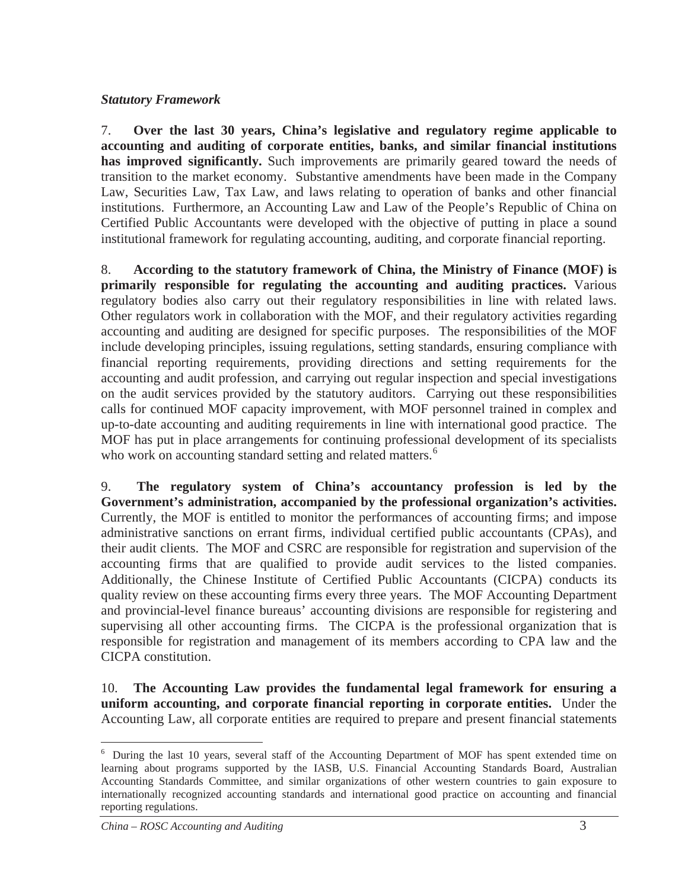### *Statutory Framework*

7. **Over the last 30 years, China's legislative and regulatory regime applicable to accounting and auditing of corporate entities, banks, and similar financial institutions**  has improved significantly. Such improvements are primarily geared toward the needs of transition to the market economy. Substantive amendments have been made in the Company Law, Securities Law, Tax Law, and laws relating to operation of banks and other financial institutions. Furthermore, an Accounting Law and Law of the People's Republic of China on Certified Public Accountants were developed with the objective of putting in place a sound institutional framework for regulating accounting, auditing, and corporate financial reporting.

8. **According to the statutory framework of China, the Ministry of Finance (MOF) is primarily responsible for regulating the accounting and auditing practices.** Various regulatory bodies also carry out their regulatory responsibilities in line with related laws. Other regulators work in collaboration with the MOF, and their regulatory activities regarding accounting and auditing are designed for specific purposes. The responsibilities of the MOF include developing principles, issuing regulations, setting standards, ensuring compliance with financial reporting requirements, providing directions and setting requirements for the accounting and audit profession, and carrying out regular inspection and special investigations on the audit services provided by the statutory auditors. Carrying out these responsibilities calls for continued MOF capacity improvement, with MOF personnel trained in complex and up-to-date accounting and auditing requirements in line with international good practice. The MOF has put in place arrangements for continuing professional development of its specialists who work on accounting standard setting and related matters.<sup>6</sup>

9. **The regulatory system of China's accountancy profession is led by the Government's administration, accompanied by the professional organization's activities.**  Currently, the MOF is entitled to monitor the performances of accounting firms; and impose administrative sanctions on errant firms, individual certified public accountants (CPAs), and their audit clients. The MOF and CSRC are responsible for registration and supervision of the accounting firms that are qualified to provide audit services to the listed companies. Additionally, the Chinese Institute of Certified Public Accountants (CICPA) conducts its quality review on these accounting firms every three years. The MOF Accounting Department and provincial-level finance bureaus' accounting divisions are responsible for registering and supervising all other accounting firms. The CICPA is the professional organization that is responsible for registration and management of its members according to CPA law and the CICPA constitution.

10. **The Accounting Law provides the fundamental legal framework for ensuring a uniform accounting, and corporate financial reporting in corporate entities.** Under the Accounting Law, all corporate entities are required to prepare and present financial statements

<sup>&</sup>lt;sup>6</sup> During the last 10 years, several staff of the Accounting Department of MOF has spent extended time on learning about programs supported by the IASB, U.S. Financial Accounting Standards Board, Australian Accounting Standards Committee, and similar organizations of other western countries to gain exposure to internationally recognized accounting standards and international good practice on accounting and financial reporting regulations.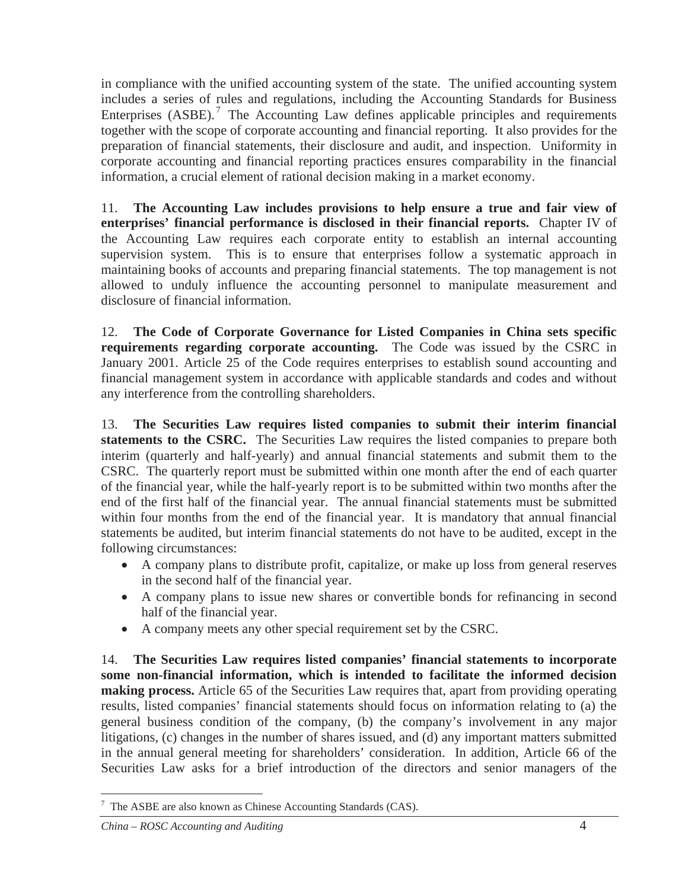in compliance with the unified accounting system of the state. The unified accounting system includes a series of rules and regulations, including the Accounting Standards for Business Enterprises  $(ASBE)$ .<sup>7</sup> The Accounting Law defines applicable principles and requirements together with the scope of corporate accounting and financial reporting. It also provides for the preparation of financial statements, their disclosure and audit, and inspection. Uniformity in corporate accounting and financial reporting practices ensures comparability in the financial information, a crucial element of rational decision making in a market economy.

11. **The Accounting Law includes provisions to help ensure a true and fair view of enterprises' financial performance is disclosed in their financial reports.** Chapter IV of the Accounting Law requires each corporate entity to establish an internal accounting supervision system. This is to ensure that enterprises follow a systematic approach in maintaining books of accounts and preparing financial statements. The top management is not allowed to unduly influence the accounting personnel to manipulate measurement and disclosure of financial information.

12. **The Code of Corporate Governance for Listed Companies in China sets specific requirements regarding corporate accounting.** The Code was issued by the CSRC in January 2001. Article 25 of the Code requires enterprises to establish sound accounting and financial management system in accordance with applicable standards and codes and without any interference from the controlling shareholders.

13. **The Securities Law requires listed companies to submit their interim financial**  statements to the CSRC. The Securities Law requires the listed companies to prepare both interim (quarterly and half-yearly) and annual financial statements and submit them to the CSRC. The quarterly report must be submitted within one month after the end of each quarter of the financial year, while the half-yearly report is to be submitted within two months after the end of the first half of the financial year. The annual financial statements must be submitted within four months from the end of the financial year. It is mandatory that annual financial statements be audited, but interim financial statements do not have to be audited, except in the following circumstances:

- A company plans to distribute profit, capitalize, or make up loss from general reserves in the second half of the financial year.
- A company plans to issue new shares or convertible bonds for refinancing in second half of the financial year.
- A company meets any other special requirement set by the CSRC.

14. **The Securities Law requires listed companies' financial statements to incorporate some non-financial information, which is intended to facilitate the informed decision making process.** Article 65 of the Securities Law requires that, apart from providing operating results, listed companies' financial statements should focus on information relating to (a) the general business condition of the company, (b) the company's involvement in any major litigations, (c) changes in the number of shares issued, and (d) any important matters submitted in the annual general meeting for shareholders' consideration. In addition, Article 66 of the Securities Law asks for a brief introduction of the directors and senior managers of the

 $7$  The ASBE are also known as Chinese Accounting Standards (CAS).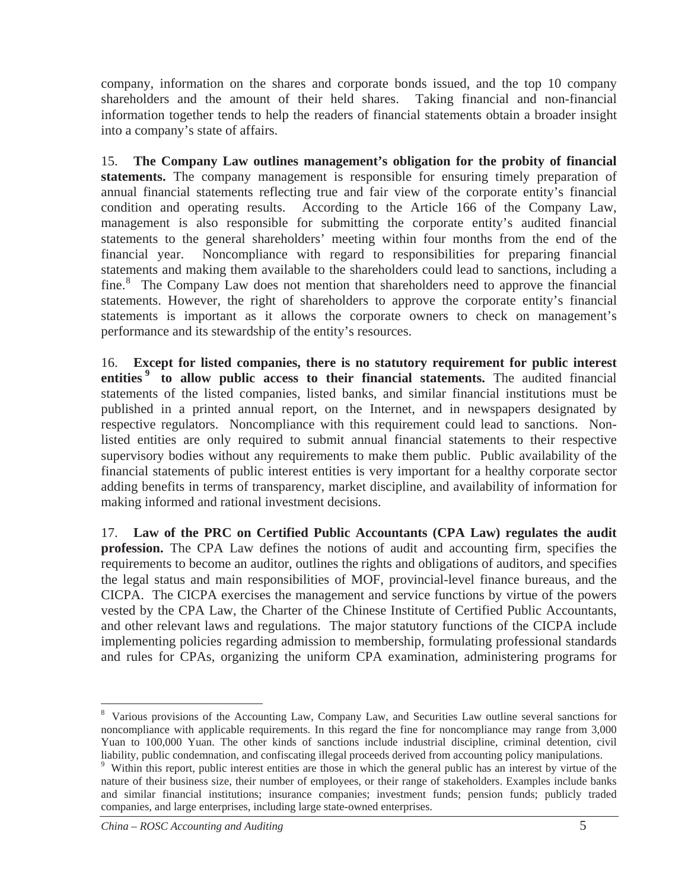company, information on the shares and corporate bonds issued, and the top 10 company shareholders and the amount of their held shares. Taking financial and non-financial information together tends to help the readers of financial statements obtain a broader insight into a company's state of affairs.

15. **The Company Law outlines management's obligation for the probity of financial statements.** The company management is responsible for ensuring timely preparation of annual financial statements reflecting true and fair view of the corporate entity's financial condition and operating results. According to the Article 166 of the Company Law, management is also responsible for submitting the corporate entity's audited financial statements to the general shareholders' meeting within four months from the end of the financial year. Noncompliance with regard to responsibilities for preparing financial statements and making them available to the shareholders could lead to sanctions, including a fine.<sup>8</sup> The Company Law does not mention that shareholders need to approve the financial statements. However, the right of shareholders to approve the corporate entity's financial statements is important as it allows the corporate owners to check on management's performance and its stewardship of the entity's resources.

16. **Except for listed companies, there is no statutory requirement for public interest entities 9 to allow public access to their financial statements.** The audited financial statements of the listed companies, listed banks, and similar financial institutions must be published in a printed annual report, on the Internet, and in newspapers designated by respective regulators. Noncompliance with this requirement could lead to sanctions. Nonlisted entities are only required to submit annual financial statements to their respective supervisory bodies without any requirements to make them public. Public availability of the financial statements of public interest entities is very important for a healthy corporate sector adding benefits in terms of transparency, market discipline, and availability of information for making informed and rational investment decisions.

17. **Law of the PRC on Certified Public Accountants (CPA Law) regulates the audit profession.** The CPA Law defines the notions of audit and accounting firm, specifies the requirements to become an auditor, outlines the rights and obligations of auditors, and specifies the legal status and main responsibilities of MOF, provincial-level finance bureaus, and the CICPA. The CICPA exercises the management and service functions by virtue of the powers vested by the CPA Law, the Charter of the Chinese Institute of Certified Public Accountants, and other relevant laws and regulations. The major statutory functions of the CICPA include implementing policies regarding admission to membership, formulating professional standards and rules for CPAs, organizing the uniform CPA examination, administering programs for

<sup>&</sup>lt;sup>8</sup> Various provisions of the Accounting Law, Company Law, and Securities Law outline several sanctions for noncompliance with applicable requirements. In this regard the fine for noncompliance may range from 3,000 Yuan to 100,000 Yuan. The other kinds of sanctions include industrial discipline, criminal detention, civil liability, public condemnation, and confiscating illegal proceeds derived from accounting policy manipulations.

<sup>&</sup>lt;sup>9</sup> Within this report, public interest entities are those in which the general public has an interest by virtue of the nature of their business size, their number of employees, or their range of stakeholders. Examples include banks and similar financial institutions; insurance companies; investment funds; pension funds; publicly traded companies, and large enterprises, including large state-owned enterprises.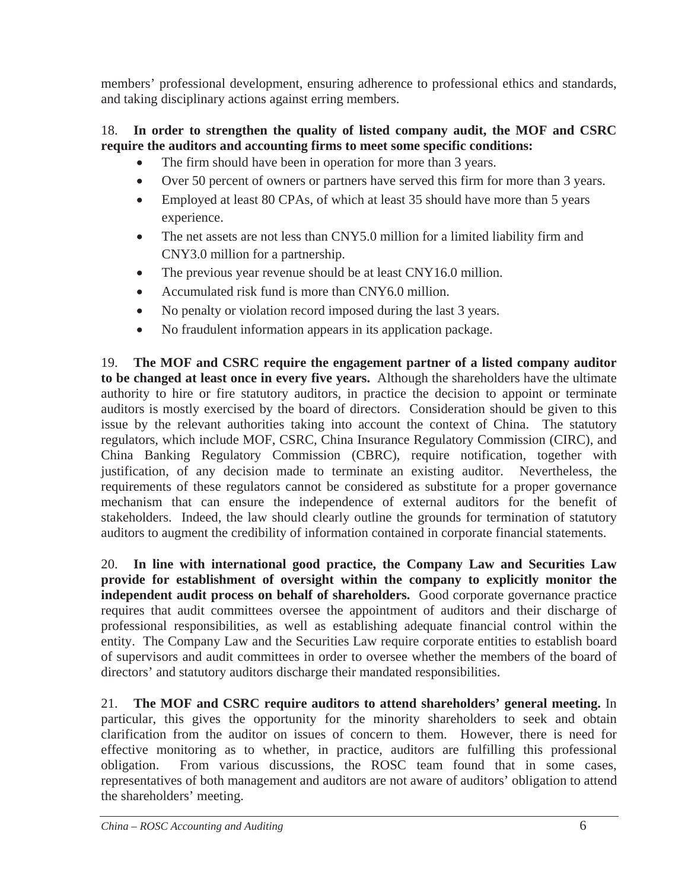members' professional development, ensuring adherence to professional ethics and standards, and taking disciplinary actions against erring members.

## 18. **In order to strengthen the quality of listed company audit, the MOF and CSRC require the auditors and accounting firms to meet some specific conditions:**

- The firm should have been in operation for more than 3 years.
- Over 50 percent of owners or partners have served this firm for more than 3 years.
- Employed at least 80 CPAs, of which at least 35 should have more than 5 years experience.
- The net assets are not less than CNY5.0 million for a limited liability firm and CNY3.0 million for a partnership.
- $\bullet$  The previous year revenue should be at least CNY16.0 million.
- Accumulated risk fund is more than  $CNY6.0$  million.
- No penalty or violation record imposed during the last 3 years.
- No fraudulent information appears in its application package.

19. **The MOF and CSRC require the engagement partner of a listed company auditor to be changed at least once in every five years.** Although the shareholders have the ultimate authority to hire or fire statutory auditors, in practice the decision to appoint or terminate auditors is mostly exercised by the board of directors. Consideration should be given to this issue by the relevant authorities taking into account the context of China. The statutory regulators, which include MOF, CSRC, China Insurance Regulatory Commission (CIRC), and China Banking Regulatory Commission (CBRC), require notification, together with justification, of any decision made to terminate an existing auditor. Nevertheless, the requirements of these regulators cannot be considered as substitute for a proper governance mechanism that can ensure the independence of external auditors for the benefit of stakeholders. Indeed, the law should clearly outline the grounds for termination of statutory auditors to augment the credibility of information contained in corporate financial statements.

20. **In line with international good practice, the Company Law and Securities Law provide for establishment of oversight within the company to explicitly monitor the independent audit process on behalf of shareholders.** Good corporate governance practice requires that audit committees oversee the appointment of auditors and their discharge of professional responsibilities, as well as establishing adequate financial control within the entity. The Company Law and the Securities Law require corporate entities to establish board of supervisors and audit committees in order to oversee whether the members of the board of directors' and statutory auditors discharge their mandated responsibilities.

21. **The MOF and CSRC require auditors to attend shareholders' general meeting.** In particular, this gives the opportunity for the minority shareholders to seek and obtain clarification from the auditor on issues of concern to them. However, there is need for effective monitoring as to whether, in practice, auditors are fulfilling this professional obligation. From various discussions, the ROSC team found that in some cases, representatives of both management and auditors are not aware of auditors' obligation to attend the shareholders' meeting.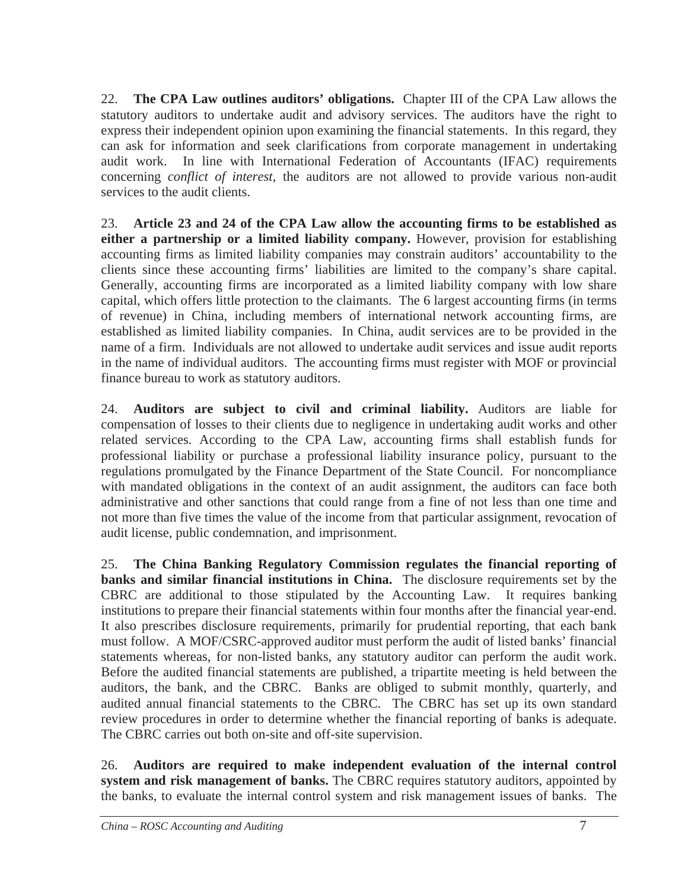22. **The CPA Law outlines auditors' obligations.** Chapter III of the CPA Law allows the statutory auditors to undertake audit and advisory services. The auditors have the right to express their independent opinion upon examining the financial statements. In this regard, they can ask for information and seek clarifications from corporate management in undertaking audit work. In line with International Federation of Accountants (IFAC) requirements concerning *conflict of interest*, the auditors are not allowed to provide various non-audit services to the audit clients.

23. **Article 23 and 24 of the CPA Law allow the accounting firms to be established as either a partnership or a limited liability company.** However, provision for establishing accounting firms as limited liability companies may constrain auditors' accountability to the clients since these accounting firms' liabilities are limited to the company's share capital. Generally, accounting firms are incorporated as a limited liability company with low share capital, which offers little protection to the claimants. The 6 largest accounting firms (in terms of revenue) in China, including members of international network accounting firms, are established as limited liability companies. In China, audit services are to be provided in the name of a firm. Individuals are not allowed to undertake audit services and issue audit reports in the name of individual auditors. The accounting firms must register with MOF or provincial finance bureau to work as statutory auditors.

24. **Auditors are subject to civil and criminal liability.** Auditors are liable for compensation of losses to their clients due to negligence in undertaking audit works and other related services. According to the CPA Law, accounting firms shall establish funds for professional liability or purchase a professional liability insurance policy, pursuant to the regulations promulgated by the Finance Department of the State Council. For noncompliance with mandated obligations in the context of an audit assignment, the auditors can face both administrative and other sanctions that could range from a fine of not less than one time and not more than five times the value of the income from that particular assignment, revocation of audit license, public condemnation, and imprisonment.

25. **The China Banking Regulatory Commission regulates the financial reporting of banks and similar financial institutions in China.** The disclosure requirements set by the CBRC are additional to those stipulated by the Accounting Law. It requires banking institutions to prepare their financial statements within four months after the financial year-end. It also prescribes disclosure requirements, primarily for prudential reporting, that each bank must follow. A MOF/CSRC-approved auditor must perform the audit of listed banks' financial statements whereas, for non-listed banks, any statutory auditor can perform the audit work. Before the audited financial statements are published, a tripartite meeting is held between the auditors, the bank, and the CBRC. Banks are obliged to submit monthly, quarterly, and audited annual financial statements to the CBRC. The CBRC has set up its own standard review procedures in order to determine whether the financial reporting of banks is adequate. The CBRC carries out both on-site and off-site supervision.

26. **Auditors are required to make independent evaluation of the internal control system and risk management of banks.** The CBRC requires statutory auditors, appointed by the banks, to evaluate the internal control system and risk management issues of banks. The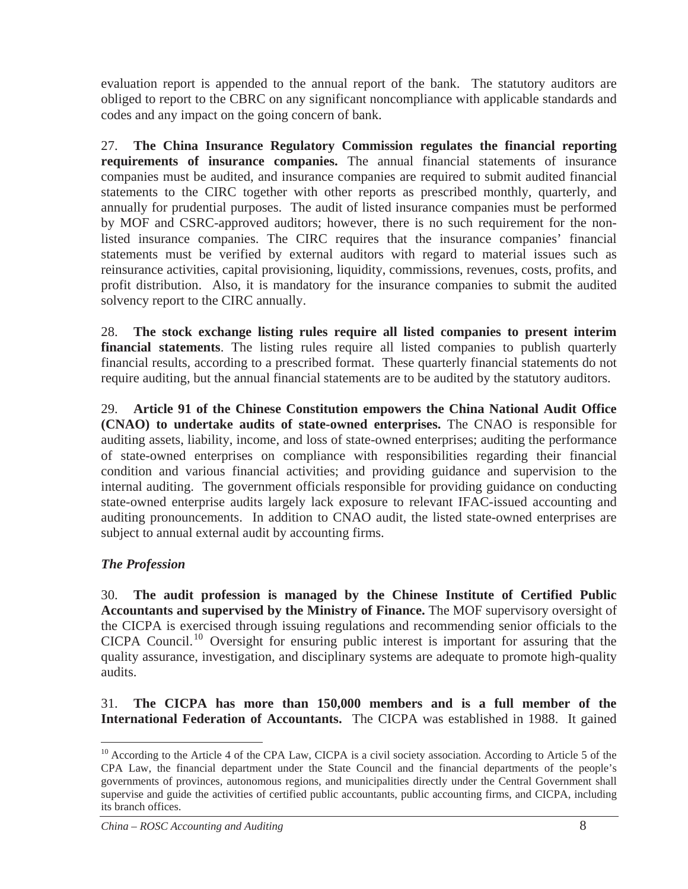evaluation report is appended to the annual report of the bank. The statutory auditors are obliged to report to the CBRC on any significant noncompliance with applicable standards and codes and any impact on the going concern of bank.

27. **The China Insurance Regulatory Commission regulates the financial reporting requirements of insurance companies.** The annual financial statements of insurance companies must be audited, and insurance companies are required to submit audited financial statements to the CIRC together with other reports as prescribed monthly, quarterly, and annually for prudential purposes. The audit of listed insurance companies must be performed by MOF and CSRC-approved auditors; however, there is no such requirement for the nonlisted insurance companies. The CIRC requires that the insurance companies' financial statements must be verified by external auditors with regard to material issues such as reinsurance activities, capital provisioning, liquidity, commissions, revenues, costs, profits, and profit distribution. Also, it is mandatory for the insurance companies to submit the audited solvency report to the CIRC annually.

28. **The stock exchange listing rules require all listed companies to present interim financial statements**. The listing rules require all listed companies to publish quarterly financial results, according to a prescribed format. These quarterly financial statements do not require auditing, but the annual financial statements are to be audited by the statutory auditors.

29. **Article 91 of the Chinese Constitution empowers the China National Audit Office (CNAO) to undertake audits of state-owned enterprises.** The CNAO is responsible for auditing assets, liability, income, and loss of state-owned enterprises; auditing the performance of state-owned enterprises on compliance with responsibilities regarding their financial condition and various financial activities; and providing guidance and supervision to the internal auditing. The government officials responsible for providing guidance on conducting state-owned enterprise audits largely lack exposure to relevant IFAC-issued accounting and auditing pronouncements. In addition to CNAO audit, the listed state-owned enterprises are subject to annual external audit by accounting firms.

### *The Profession*

30. **The audit profession is managed by the Chinese Institute of Certified Public Accountants and supervised by the Ministry of Finance.** The MOF supervisory oversight of the CICPA is exercised through issuing regulations and recommending senior officials to the CICPA Council.<sup>10</sup> Oversight for ensuring public interest is important for assuring that the quality assurance, investigation, and disciplinary systems are adequate to promote high-quality audits.

31. **The CICPA has more than 150,000 members and is a full member of the International Federation of Accountants.** The CICPA was established in 1988. It gained

<sup>&</sup>lt;sup>10</sup> According to the Article 4 of the CPA Law, CICPA is a civil society association. According to Article 5 of the CPA Law, the financial department under the State Council and the financial departments of the people's governments of provinces, autonomous regions, and municipalities directly under the Central Government shall supervise and guide the activities of certified public accountants, public accounting firms, and CICPA, including its branch offices.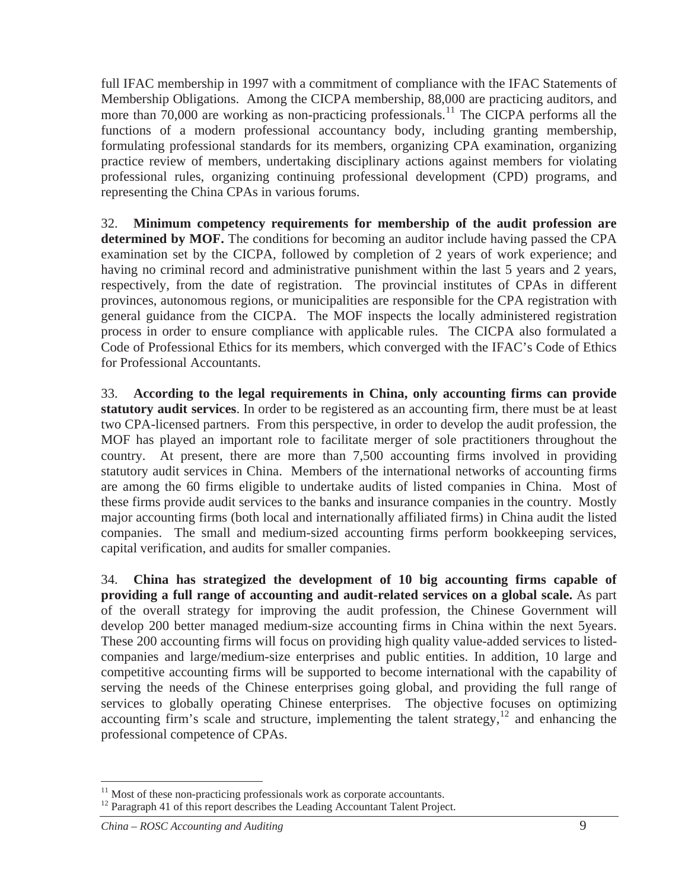full IFAC membership in 1997 with a commitment of compliance with the IFAC Statements of Membership Obligations. Among the CICPA membership, 88,000 are practicing auditors, and more than 70,000 are working as non-practicing professionals.<sup>11</sup> The CICPA performs all the functions of a modern professional accountancy body, including granting membership, formulating professional standards for its members, organizing CPA examination, organizing practice review of members, undertaking disciplinary actions against members for violating professional rules, organizing continuing professional development (CPD) programs, and representing the China CPAs in various forums.

32. **Minimum competency requirements for membership of the audit profession are determined by MOF.** The conditions for becoming an auditor include having passed the CPA examination set by the CICPA, followed by completion of 2 years of work experience; and having no criminal record and administrative punishment within the last 5 years and 2 years, respectively, from the date of registration. The provincial institutes of CPAs in different provinces, autonomous regions, or municipalities are responsible for the CPA registration with general guidance from the CICPA. The MOF inspects the locally administered registration process in order to ensure compliance with applicable rules. The CICPA also formulated a Code of Professional Ethics for its members, which converged with the IFAC's Code of Ethics for Professional Accountants.

33. **According to the legal requirements in China, only accounting firms can provide statutory audit services**. In order to be registered as an accounting firm, there must be at least two CPA-licensed partners. From this perspective, in order to develop the audit profession, the MOF has played an important role to facilitate merger of sole practitioners throughout the country. At present, there are more than 7,500 accounting firms involved in providing statutory audit services in China. Members of the international networks of accounting firms are among the 60 firms eligible to undertake audits of listed companies in China. Most of these firms provide audit services to the banks and insurance companies in the country. Mostly major accounting firms (both local and internationally affiliated firms) in China audit the listed companies. The small and medium-sized accounting firms perform bookkeeping services, capital verification, and audits for smaller companies.

34. **China has strategized the development of 10 big accounting firms capable of providing a full range of accounting and audit-related services on a global scale.** As part of the overall strategy for improving the audit profession, the Chinese Government will develop 200 better managed medium-size accounting firms in China within the next 5years. These 200 accounting firms will focus on providing high quality value-added services to listedcompanies and large/medium-size enterprises and public entities. In addition, 10 large and competitive accounting firms will be supported to become international with the capability of serving the needs of the Chinese enterprises going global, and providing the full range of services to globally operating Chinese enterprises. The objective focuses on optimizing accounting firm's scale and structure, implementing the talent strategy,  $\frac{12}{2}$  and enhancing the professional competence of CPAs.

 $11$  Most of these non-practicing professionals work as corporate accountants.

<sup>&</sup>lt;sup>12</sup> Paragraph 41 of this report describes the Leading Accountant Talent Project.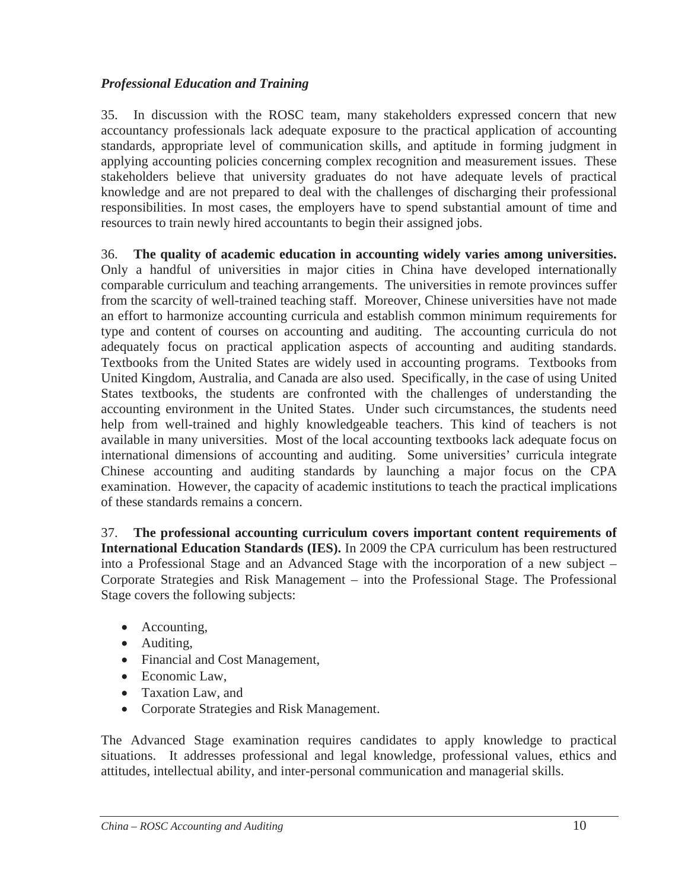## *Professional Education and Training*

35. In discussion with the ROSC team, many stakeholders expressed concern that new accountancy professionals lack adequate exposure to the practical application of accounting standards, appropriate level of communication skills, and aptitude in forming judgment in applying accounting policies concerning complex recognition and measurement issues. These stakeholders believe that university graduates do not have adequate levels of practical knowledge and are not prepared to deal with the challenges of discharging their professional responsibilities. In most cases, the employers have to spend substantial amount of time and resources to train newly hired accountants to begin their assigned jobs.

36. **The quality of academic education in accounting widely varies among universities.**  Only a handful of universities in major cities in China have developed internationally comparable curriculum and teaching arrangements. The universities in remote provinces suffer from the scarcity of well-trained teaching staff. Moreover, Chinese universities have not made an effort to harmonize accounting curricula and establish common minimum requirements for type and content of courses on accounting and auditing. The accounting curricula do not adequately focus on practical application aspects of accounting and auditing standards. Textbooks from the United States are widely used in accounting programs. Textbooks from United Kingdom, Australia, and Canada are also used. Specifically, in the case of using United States textbooks, the students are confronted with the challenges of understanding the accounting environment in the United States. Under such circumstances, the students need help from well-trained and highly knowledgeable teachers. This kind of teachers is not available in many universities. Most of the local accounting textbooks lack adequate focus on international dimensions of accounting and auditing. Some universities' curricula integrate Chinese accounting and auditing standards by launching a major focus on the CPA examination. However, the capacity of academic institutions to teach the practical implications of these standards remains a concern.

37. **The professional accounting curriculum covers important content requirements of International Education Standards (IES).** In 2009 the CPA curriculum has been restructured into a Professional Stage and an Advanced Stage with the incorporation of a new subject – Corporate Strategies and Risk Management – into the Professional Stage. The Professional Stage covers the following subjects:

- $\bullet$  Accounting,
- $\bullet$  Auditing,
- Financial and Cost Management,
- $\bullet$  Economic Law,
- Taxation Law, and
- Corporate Strategies and Risk Management.

The Advanced Stage examination requires candidates to apply knowledge to practical situations. It addresses professional and legal knowledge, professional values, ethics and attitudes, intellectual ability, and inter-personal communication and managerial skills.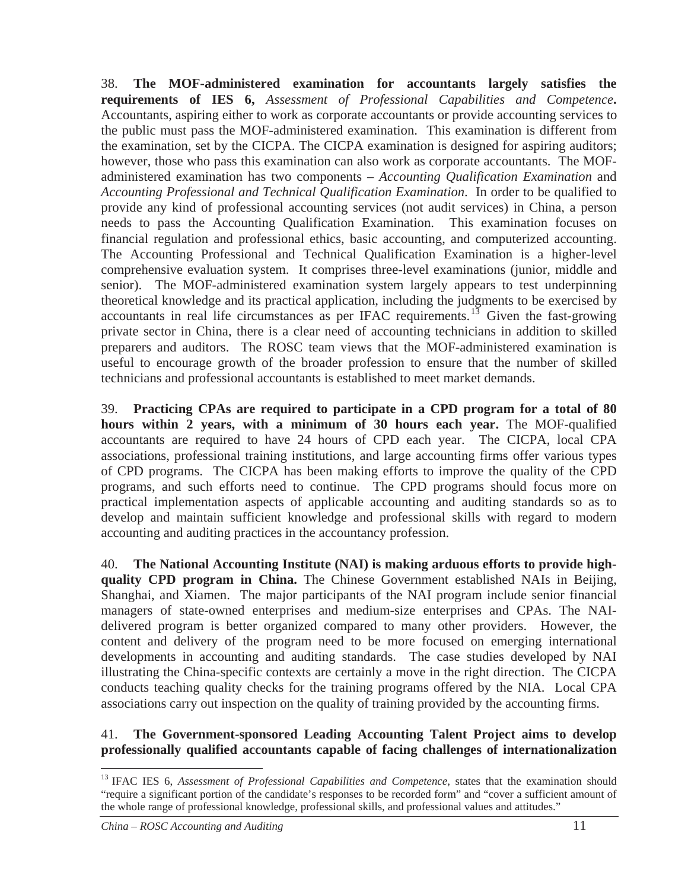38. **The MOF-administered examination for accountants largely satisfies the requirements of IES 6,** *Assessment of Professional Capabilities and Competence***.** Accountants, aspiring either to work as corporate accountants or provide accounting services to the public must pass the MOF-administered examination. This examination is different from the examination, set by the CICPA. The CICPA examination is designed for aspiring auditors; however, those who pass this examination can also work as corporate accountants. The MOFadministered examination has two components – *Accounting Qualification Examination* and *Accounting Professional and Technical Qualification Examination*. In order to be qualified to provide any kind of professional accounting services (not audit services) in China, a person needs to pass the Accounting Qualification Examination. This examination focuses on financial regulation and professional ethics, basic accounting, and computerized accounting. The Accounting Professional and Technical Qualification Examination is a higher-level comprehensive evaluation system. It comprises three-level examinations (junior, middle and senior). The MOF-administered examination system largely appears to test underpinning theoretical knowledge and its practical application, including the judgments to be exercised by accountants in real life circumstances as per IFAC requirements.<sup>13</sup> Given the fast-growing private sector in China, there is a clear need of accounting technicians in addition to skilled preparers and auditors. The ROSC team views that the MOF-administered examination is useful to encourage growth of the broader profession to ensure that the number of skilled technicians and professional accountants is established to meet market demands.

39. **Practicing CPAs are required to participate in a CPD program for a total of 80 hours within 2 years, with a minimum of 30 hours each year.** The MOF-qualified accountants are required to have 24 hours of CPD each year. The CICPA, local CPA associations, professional training institutions, and large accounting firms offer various types of CPD programs. The CICPA has been making efforts to improve the quality of the CPD programs, and such efforts need to continue. The CPD programs should focus more on practical implementation aspects of applicable accounting and auditing standards so as to develop and maintain sufficient knowledge and professional skills with regard to modern accounting and auditing practices in the accountancy profession.

40. **The National Accounting Institute (NAI) is making arduous efforts to provide highquality CPD program in China.** The Chinese Government established NAIs in Beijing, Shanghai, and Xiamen. The major participants of the NAI program include senior financial managers of state-owned enterprises and medium-size enterprises and CPAs. The NAIdelivered program is better organized compared to many other providers. However, the content and delivery of the program need to be more focused on emerging international developments in accounting and auditing standards. The case studies developed by NAI illustrating the China-specific contexts are certainly a move in the right direction. The CICPA conducts teaching quality checks for the training programs offered by the NIA. Local CPA associations carry out inspection on the quality of training provided by the accounting firms.

### 41. **The Government-sponsored Leading Accounting Talent Project aims to develop professionally qualified accountants capable of facing challenges of internationalization**

<sup>&</sup>lt;sup>13</sup> IFAC IES 6, *Assessment of Professional Capabilities and Competence*, states that the examination should "require a significant portion of the candidate's responses to be recorded form" and "cover a sufficient amount of the whole range of professional knowledge, professional skills, and professional values and attitudes."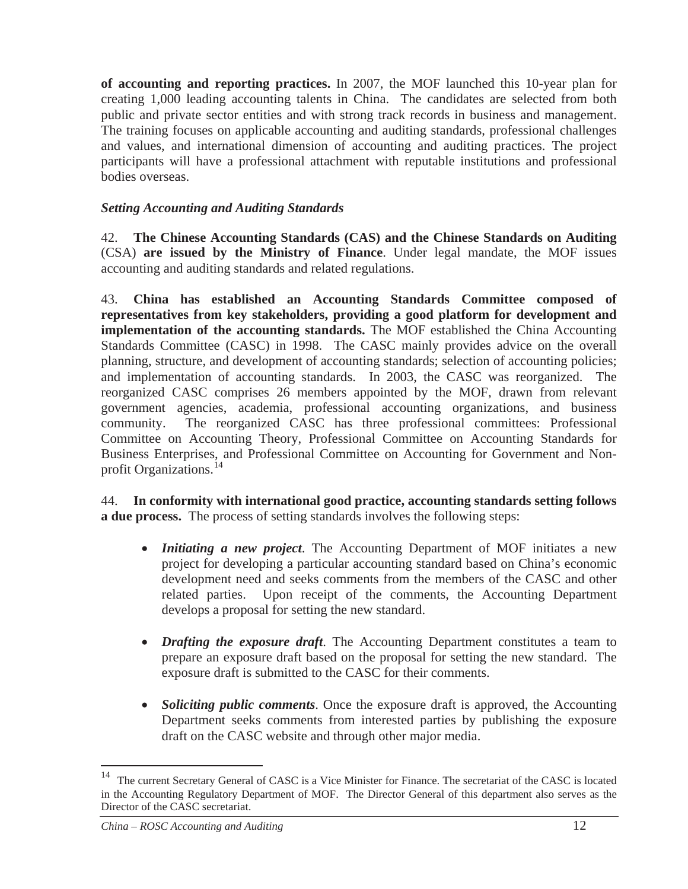**of accounting and reporting practices.** In 2007, the MOF launched this 10-year plan for creating 1,000 leading accounting talents in China. The candidates are selected from both public and private sector entities and with strong track records in business and management. The training focuses on applicable accounting and auditing standards, professional challenges and values, and international dimension of accounting and auditing practices. The project participants will have a professional attachment with reputable institutions and professional bodies overseas.

### *Setting Accounting and Auditing Standards*

42. **The Chinese Accounting Standards (CAS) and the Chinese Standards on Auditing**  (CSA) **are issued by the Ministry of Finance**. Under legal mandate, the MOF issues accounting and auditing standards and related regulations.

43. **China has established an Accounting Standards Committee composed of representatives from key stakeholders, providing a good platform for development and implementation of the accounting standards.** The MOF established the China Accounting Standards Committee (CASC) in 1998. The CASC mainly provides advice on the overall planning, structure, and development of accounting standards; selection of accounting policies; and implementation of accounting standards. In 2003, the CASC was reorganized. The reorganized CASC comprises 26 members appointed by the MOF, drawn from relevant government agencies, academia, professional accounting organizations, and business community. The reorganized CASC has three professional committees: Professional Committee on Accounting Theory, Professional Committee on Accounting Standards for Business Enterprises, and Professional Committee on Accounting for Government and Nonprofit Organizations.<sup>14</sup>

44. **In conformity with international good practice, accounting standards setting follows a due process.** The process of setting standards involves the following steps:

- *Initiating a new project*. The Accounting Department of MOF initiates a new project for developing a particular accounting standard based on China's economic development need and seeks comments from the members of the CASC and other related parties. Upon receipt of the comments, the Accounting Department develops a proposal for setting the new standard.
- *Drafting the exposure draft*. The Accounting Department constitutes a team to prepare an exposure draft based on the proposal for setting the new standard. The exposure draft is submitted to the CASC for their comments.
- *Soliciting public comments*. Once the exposure draft is approved, the Accounting Department seeks comments from interested parties by publishing the exposure draft on the CASC website and through other major media.

The current Secretary General of CASC is a Vice Minister for Finance. The secretariat of the CASC is located in the Accounting Regulatory Department of MOF. The Director General of this department also serves as the Director of the CASC secretariat.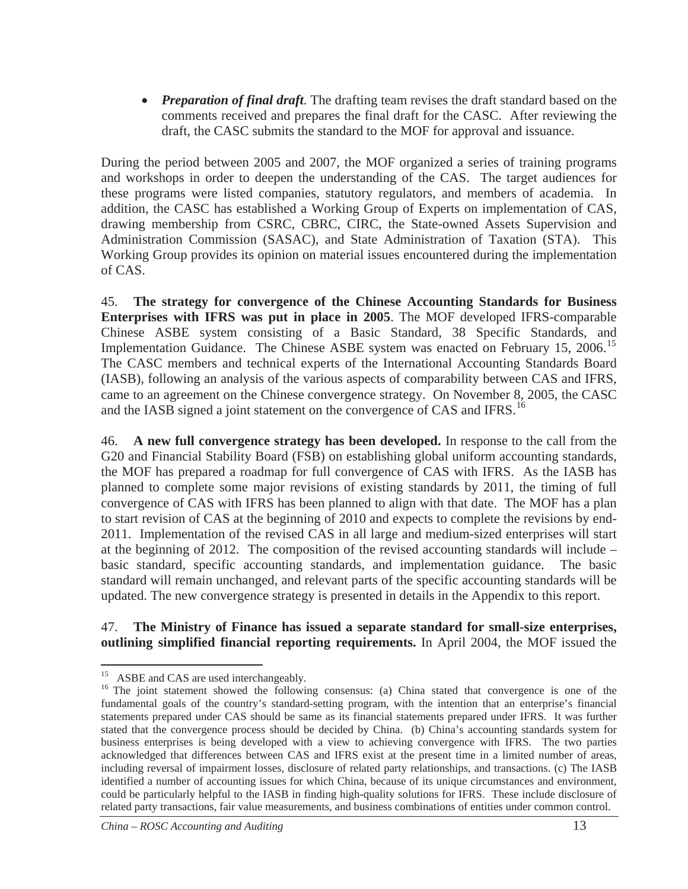• *Preparation of final draft*. The drafting team revises the draft standard based on the comments received and prepares the final draft for the CASC. After reviewing the draft, the CASC submits the standard to the MOF for approval and issuance.

During the period between 2005 and 2007, the MOF organized a series of training programs and workshops in order to deepen the understanding of the CAS. The target audiences for these programs were listed companies, statutory regulators, and members of academia. In addition, the CASC has established a Working Group of Experts on implementation of CAS, drawing membership from CSRC, CBRC, CIRC, the State-owned Assets Supervision and Administration Commission (SASAC), and State Administration of Taxation (STA). This Working Group provides its opinion on material issues encountered during the implementation of CAS.

45. **The strategy for convergence of the Chinese Accounting Standards for Business Enterprises with IFRS was put in place in 2005**. The MOF developed IFRS-comparable Chinese ASBE system consisting of a Basic Standard, 38 Specific Standards, and Implementation Guidance. The Chinese ASBE system was enacted on February 15, 2006.<sup>15</sup> The CASC members and technical experts of the International Accounting Standards Board (IASB), following an analysis of the various aspects of comparability between CAS and IFRS, came to an agreement on the Chinese convergence strategy. On November 8, 2005, the CASC and the IASB signed a joint statement on the convergence of CAS and IFRS.<sup>16</sup>

46. **A new full convergence strategy has been developed.** In response to the call from the G20 and Financial Stability Board (FSB) on establishing global uniform accounting standards, the MOF has prepared a roadmap for full convergence of CAS with IFRS. As the IASB has planned to complete some major revisions of existing standards by 2011, the timing of full convergence of CAS with IFRS has been planned to align with that date. The MOF has a plan to start revision of CAS at the beginning of 2010 and expects to complete the revisions by end-2011. Implementation of the revised CAS in all large and medium-sized enterprises will start at the beginning of 2012. The composition of the revised accounting standards will include – basic standard, specific accounting standards, and implementation guidance. The basic standard will remain unchanged, and relevant parts of the specific accounting standards will be updated. The new convergence strategy is presented in details in the Appendix to this report.

#### 47. **The Ministry of Finance has issued a separate standard for small-size enterprises, outlining simplified financial reporting requirements.** In April 2004, the MOF issued the

<sup>&</sup>lt;sup>15</sup> ASBE and CAS are used interchangeably.

<sup>&</sup>lt;sup>16</sup> The joint statement showed the following consensus: (a) China stated that convergence is one of the fundamental goals of the country's standard-setting program, with the intention that an enterprise's financial statements prepared under CAS should be same as its financial statements prepared under IFRS. It was further stated that the convergence process should be decided by China. (b) China's accounting standards system for business enterprises is being developed with a view to achieving convergence with IFRS. The two parties acknowledged that differences between CAS and IFRS exist at the present time in a limited number of areas, including reversal of impairment losses, disclosure of related party relationships, and transactions. (c) The IASB identified a number of accounting issues for which China, because of its unique circumstances and environment, could be particularly helpful to the IASB in finding high-quality solutions for IFRS. These include disclosure of related party transactions, fair value measurements, and business combinations of entities under common control.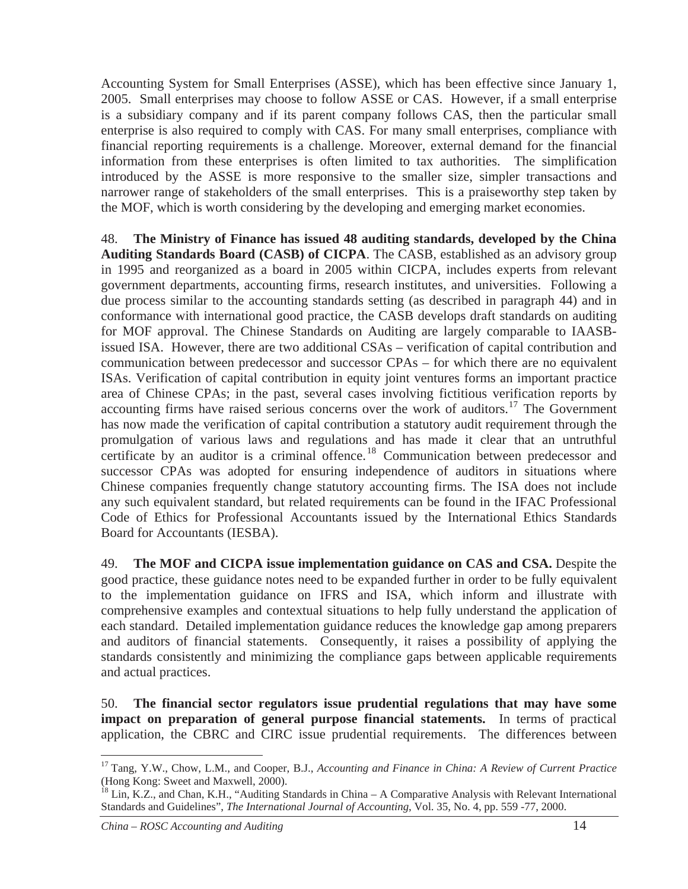Accounting System for Small Enterprises (ASSE), which has been effective since January 1, 2005. Small enterprises may choose to follow ASSE or CAS. However, if a small enterprise is a subsidiary company and if its parent company follows CAS, then the particular small enterprise is also required to comply with CAS. For many small enterprises, compliance with financial reporting requirements is a challenge. Moreover, external demand for the financial information from these enterprises is often limited to tax authorities. The simplification introduced by the ASSE is more responsive to the smaller size, simpler transactions and narrower range of stakeholders of the small enterprises. This is a praiseworthy step taken by the MOF, which is worth considering by the developing and emerging market economies.

48. **The Ministry of Finance has issued 48 auditing standards, developed by the China Auditing Standards Board (CASB) of CICPA**. The CASB, established as an advisory group in 1995 and reorganized as a board in 2005 within CICPA, includes experts from relevant government departments, accounting firms, research institutes, and universities. Following a due process similar to the accounting standards setting (as described in paragraph 44) and in conformance with international good practice, the CASB develops draft standards on auditing for MOF approval. The Chinese Standards on Auditing are largely comparable to IAASBissued ISA. However, there are two additional CSAs – verification of capital contribution and communication between predecessor and successor CPAs – for which there are no equivalent ISAs. Verification of capital contribution in equity joint ventures forms an important practice area of Chinese CPAs; in the past, several cases involving fictitious verification reports by accounting firms have raised serious concerns over the work of auditors.<sup>17</sup> The Government has now made the verification of capital contribution a statutory audit requirement through the promulgation of various laws and regulations and has made it clear that an untruthful certificate by an auditor is a criminal offence.<sup>18</sup> Communication between predecessor and successor CPAs was adopted for ensuring independence of auditors in situations where Chinese companies frequently change statutory accounting firms. The ISA does not include any such equivalent standard, but related requirements can be found in the IFAC Professional Code of Ethics for Professional Accountants issued by the International Ethics Standards Board for Accountants (IESBA).

49. **The MOF and CICPA issue implementation guidance on CAS and CSA.** Despite the good practice, these guidance notes need to be expanded further in order to be fully equivalent to the implementation guidance on IFRS and ISA, which inform and illustrate with comprehensive examples and contextual situations to help fully understand the application of each standard. Detailed implementation guidance reduces the knowledge gap among preparers and auditors of financial statements. Consequently, it raises a possibility of applying the standards consistently and minimizing the compliance gaps between applicable requirements and actual practices.

50. **The financial sector regulators issue prudential regulations that may have some impact on preparation of general purpose financial statements.** In terms of practical application, the CBRC and CIRC issue prudential requirements. The differences between

<sup>17</sup> Tang, Y.W., Chow, L.M., and Cooper, B.J., *Accounting and Finance in China: A Review of Current Practice* (Hong Kong: Sweet and Maxwell, 2000).

 $18$  Lin, K.Z., and Chan, K.H., "Auditing Standards in China – A Comparative Analysis with Relevant International Standards and Guidelines", *The International Journal of Accounting*, Vol. 35, No. 4, pp. 559 -77, 2000.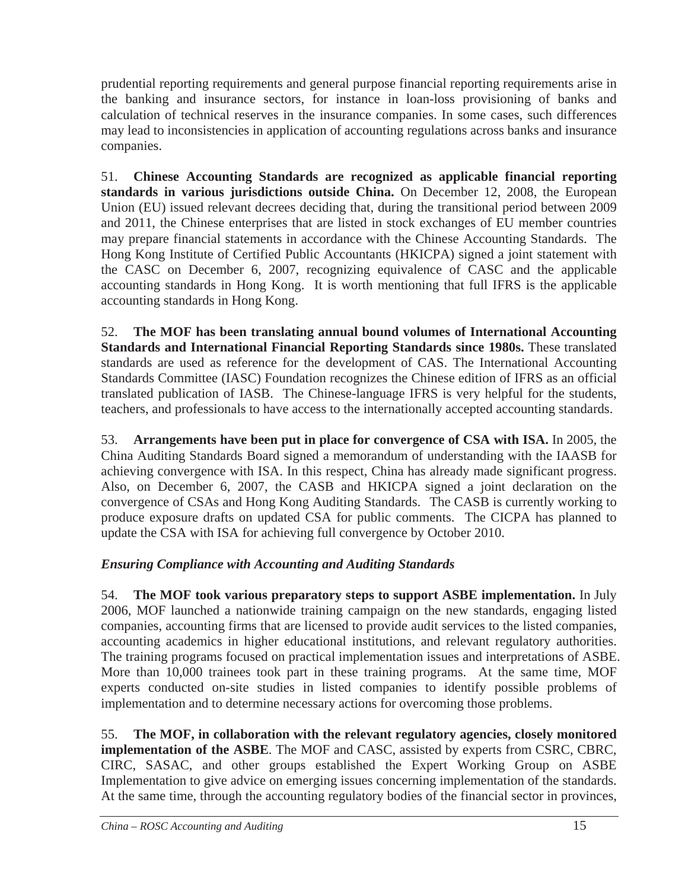prudential reporting requirements and general purpose financial reporting requirements arise in the banking and insurance sectors, for instance in loan-loss provisioning of banks and calculation of technical reserves in the insurance companies. In some cases, such differences may lead to inconsistencies in application of accounting regulations across banks and insurance companies.

51. **Chinese Accounting Standards are recognized as applicable financial reporting standards in various jurisdictions outside China.** On December 12, 2008, the European Union (EU) issued relevant decrees deciding that, during the transitional period between 2009 and 2011, the Chinese enterprises that are listed in stock exchanges of EU member countries may prepare financial statements in accordance with the Chinese Accounting Standards. The Hong Kong Institute of Certified Public Accountants (HKICPA) signed a joint statement with the CASC on December 6, 2007, recognizing equivalence of CASC and the applicable accounting standards in Hong Kong. It is worth mentioning that full IFRS is the applicable accounting standards in Hong Kong.

52. **The MOF has been translating annual bound volumes of International Accounting Standards and International Financial Reporting Standards since 1980s.** These translated standards are used as reference for the development of CAS. The International Accounting Standards Committee (IASC) Foundation recognizes the Chinese edition of IFRS as an official translated publication of IASB. The Chinese-language IFRS is very helpful for the students, teachers, and professionals to have access to the internationally accepted accounting standards.

53. **Arrangements have been put in place for convergence of CSA with ISA.** In 2005, the China Auditing Standards Board signed a memorandum of understanding with the IAASB for achieving convergence with ISA. In this respect, China has already made significant progress. Also, on December 6, 2007, the CASB and HKICPA signed a joint declaration on the convergence of CSAs and Hong Kong Auditing Standards. The CASB is currently working to produce exposure drafts on updated CSA for public comments. The CICPA has planned to update the CSA with ISA for achieving full convergence by October 2010.

### *Ensuring Compliance with Accounting and Auditing Standards*

54. **The MOF took various preparatory steps to support ASBE implementation.** In July 2006, MOF launched a nationwide training campaign on the new standards, engaging listed companies, accounting firms that are licensed to provide audit services to the listed companies, accounting academics in higher educational institutions, and relevant regulatory authorities. The training programs focused on practical implementation issues and interpretations of ASBE. More than 10,000 trainees took part in these training programs. At the same time, MOF experts conducted on-site studies in listed companies to identify possible problems of implementation and to determine necessary actions for overcoming those problems.

55. **The MOF, in collaboration with the relevant regulatory agencies, closely monitored implementation of the ASBE**. The MOF and CASC, assisted by experts from CSRC, CBRC, CIRC, SASAC, and other groups established the Expert Working Group on ASBE Implementation to give advice on emerging issues concerning implementation of the standards. At the same time, through the accounting regulatory bodies of the financial sector in provinces,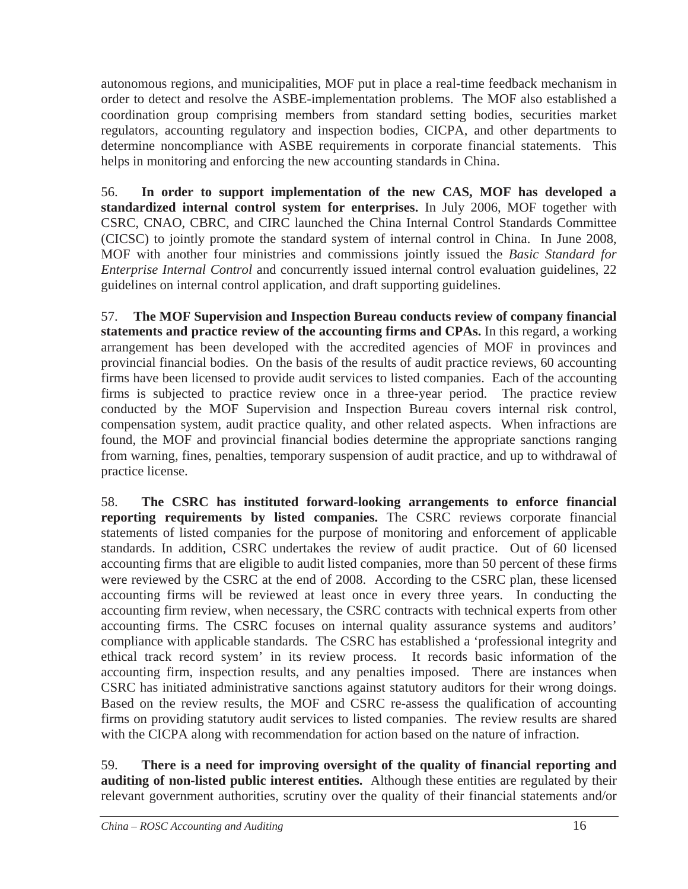autonomous regions, and municipalities, MOF put in place a real-time feedback mechanism in order to detect and resolve the ASBE-implementation problems. The MOF also established a coordination group comprising members from standard setting bodies, securities market regulators, accounting regulatory and inspection bodies, CICPA, and other departments to determine noncompliance with ASBE requirements in corporate financial statements. This helps in monitoring and enforcing the new accounting standards in China.

56. **In order to support implementation of the new CAS, MOF has developed a standardized internal control system for enterprises.** In July 2006, MOF together with CSRC, CNAO, CBRC, and CIRC launched the China Internal Control Standards Committee (CICSC) to jointly promote the standard system of internal control in China. In June 2008, MOF with another four ministries and commissions jointly issued the *Basic Standard for Enterprise Internal Control* and concurrently issued internal control evaluation guidelines, 22 guidelines on internal control application, and draft supporting guidelines.

57. **The MOF Supervision and Inspection Bureau conducts review of company financial statements and practice review of the accounting firms and CPAs.** In this regard, a working arrangement has been developed with the accredited agencies of MOF in provinces and provincial financial bodies. On the basis of the results of audit practice reviews, 60 accounting firms have been licensed to provide audit services to listed companies. Each of the accounting firms is subjected to practice review once in a three-year period. The practice review conducted by the MOF Supervision and Inspection Bureau covers internal risk control, compensation system, audit practice quality, and other related aspects. When infractions are found, the MOF and provincial financial bodies determine the appropriate sanctions ranging from warning, fines, penalties, temporary suspension of audit practice, and up to withdrawal of practice license.

58. **The CSRC has instituted forward-looking arrangements to enforce financial reporting requirements by listed companies.** The CSRC reviews corporate financial statements of listed companies for the purpose of monitoring and enforcement of applicable standards. In addition, CSRC undertakes the review of audit practice. Out of 60 licensed accounting firms that are eligible to audit listed companies, more than 50 percent of these firms were reviewed by the CSRC at the end of 2008. According to the CSRC plan, these licensed accounting firms will be reviewed at least once in every three years. In conducting the accounting firm review, when necessary, the CSRC contracts with technical experts from other accounting firms. The CSRC focuses on internal quality assurance systems and auditors' compliance with applicable standards. The CSRC has established a 'professional integrity and ethical track record system' in its review process. It records basic information of the accounting firm, inspection results, and any penalties imposed. There are instances when CSRC has initiated administrative sanctions against statutory auditors for their wrong doings. Based on the review results, the MOF and CSRC re-assess the qualification of accounting firms on providing statutory audit services to listed companies. The review results are shared with the CICPA along with recommendation for action based on the nature of infraction.

59. **There is a need for improving oversight of the quality of financial reporting and auditing of non-listed public interest entities.** Although these entities are regulated by their relevant government authorities, scrutiny over the quality of their financial statements and/or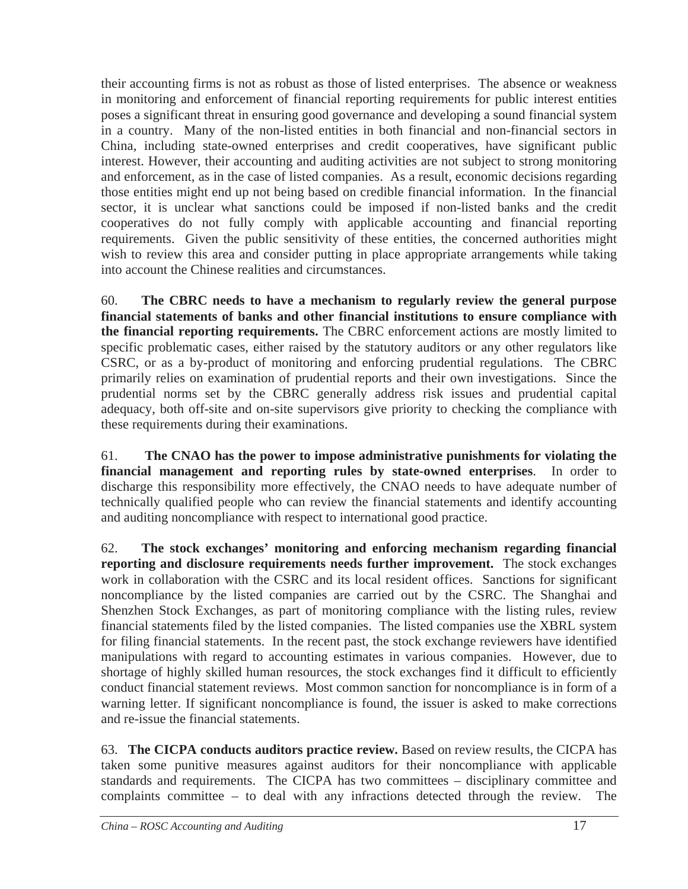their accounting firms is not as robust as those of listed enterprises. The absence or weakness in monitoring and enforcement of financial reporting requirements for public interest entities poses a significant threat in ensuring good governance and developing a sound financial system in a country. Many of the non-listed entities in both financial and non-financial sectors in China, including state-owned enterprises and credit cooperatives, have significant public interest. However, their accounting and auditing activities are not subject to strong monitoring and enforcement, as in the case of listed companies. As a result, economic decisions regarding those entities might end up not being based on credible financial information. In the financial sector, it is unclear what sanctions could be imposed if non-listed banks and the credit cooperatives do not fully comply with applicable accounting and financial reporting requirements. Given the public sensitivity of these entities, the concerned authorities might wish to review this area and consider putting in place appropriate arrangements while taking into account the Chinese realities and circumstances.

60. **The CBRC needs to have a mechanism to regularly review the general purpose financial statements of banks and other financial institutions to ensure compliance with the financial reporting requirements.** The CBRC enforcement actions are mostly limited to specific problematic cases, either raised by the statutory auditors or any other regulators like CSRC, or as a by-product of monitoring and enforcing prudential regulations. The CBRC primarily relies on examination of prudential reports and their own investigations. Since the prudential norms set by the CBRC generally address risk issues and prudential capital adequacy, both off-site and on-site supervisors give priority to checking the compliance with these requirements during their examinations.

61. **The CNAO has the power to impose administrative punishments for violating the financial management and reporting rules by state-owned enterprises**. In order to discharge this responsibility more effectively, the CNAO needs to have adequate number of technically qualified people who can review the financial statements and identify accounting and auditing noncompliance with respect to international good practice.

62. **The stock exchanges' monitoring and enforcing mechanism regarding financial reporting and disclosure requirements needs further improvement.** The stock exchanges work in collaboration with the CSRC and its local resident offices. Sanctions for significant noncompliance by the listed companies are carried out by the CSRC. The Shanghai and Shenzhen Stock Exchanges, as part of monitoring compliance with the listing rules, review financial statements filed by the listed companies. The listed companies use the XBRL system for filing financial statements. In the recent past, the stock exchange reviewers have identified manipulations with regard to accounting estimates in various companies. However, due to shortage of highly skilled human resources, the stock exchanges find it difficult to efficiently conduct financial statement reviews. Most common sanction for noncompliance is in form of a warning letter. If significant noncompliance is found, the issuer is asked to make corrections and re-issue the financial statements.

63. **The CICPA conducts auditors practice review.** Based on review results, the CICPA has taken some punitive measures against auditors for their noncompliance with applicable standards and requirements. The CICPA has two committees – disciplinary committee and complaints committee – to deal with any infractions detected through the review. The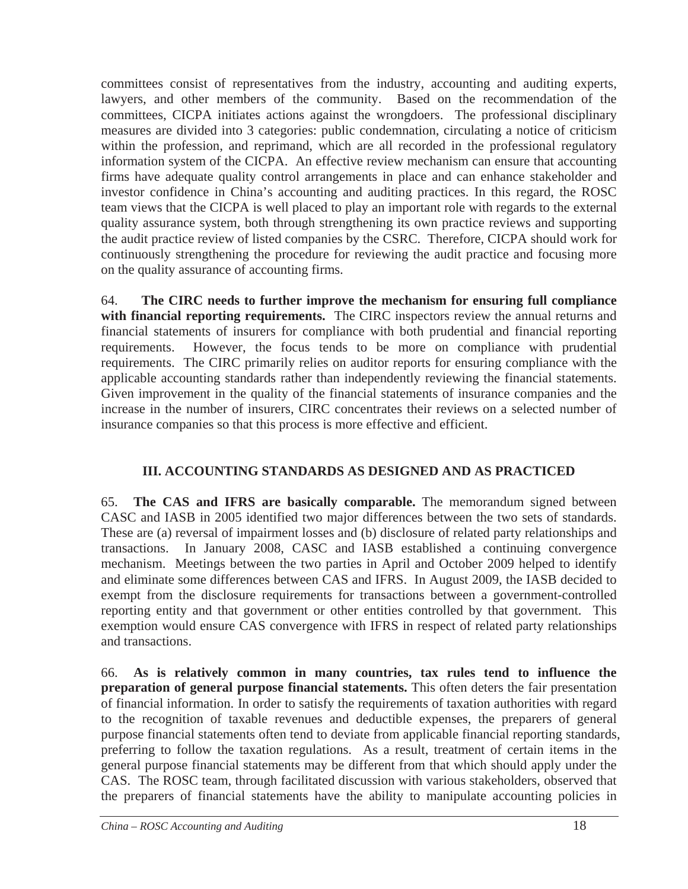committees consist of representatives from the industry, accounting and auditing experts, lawyers, and other members of the community. Based on the recommendation of the committees, CICPA initiates actions against the wrongdoers. The professional disciplinary measures are divided into 3 categories: public condemnation, circulating a notice of criticism within the profession, and reprimand, which are all recorded in the professional regulatory information system of the CICPA. An effective review mechanism can ensure that accounting firms have adequate quality control arrangements in place and can enhance stakeholder and investor confidence in China's accounting and auditing practices. In this regard, the ROSC team views that the CICPA is well placed to play an important role with regards to the external quality assurance system, both through strengthening its own practice reviews and supporting the audit practice review of listed companies by the CSRC. Therefore, CICPA should work for continuously strengthening the procedure for reviewing the audit practice and focusing more on the quality assurance of accounting firms.

64. **The CIRC needs to further improve the mechanism for ensuring full compliance with financial reporting requirements.** The CIRC inspectors review the annual returns and financial statements of insurers for compliance with both prudential and financial reporting requirements. However, the focus tends to be more on compliance with prudential requirements. The CIRC primarily relies on auditor reports for ensuring compliance with the applicable accounting standards rather than independently reviewing the financial statements. Given improvement in the quality of the financial statements of insurance companies and the increase in the number of insurers, CIRC concentrates their reviews on a selected number of insurance companies so that this process is more effective and efficient.

# **III. ACCOUNTING STANDARDS AS DESIGNED AND AS PRACTICED**

65. **The CAS and IFRS are basically comparable.** The memorandum signed between CASC and IASB in 2005 identified two major differences between the two sets of standards. These are (a) reversal of impairment losses and (b) disclosure of related party relationships and transactions. In January 2008, CASC and IASB established a continuing convergence mechanism. Meetings between the two parties in April and October 2009 helped to identify and eliminate some differences between CAS and IFRS. In August 2009, the IASB decided to exempt from the disclosure requirements for transactions between a government-controlled reporting entity and that government or other entities controlled by that government. This exemption would ensure CAS convergence with IFRS in respect of related party relationships and transactions.

66. **As is relatively common in many countries, tax rules tend to influence the preparation of general purpose financial statements.** This often deters the fair presentation of financial information. In order to satisfy the requirements of taxation authorities with regard to the recognition of taxable revenues and deductible expenses, the preparers of general purpose financial statements often tend to deviate from applicable financial reporting standards, preferring to follow the taxation regulations. As a result, treatment of certain items in the general purpose financial statements may be different from that which should apply under the CAS. The ROSC team, through facilitated discussion with various stakeholders, observed that the preparers of financial statements have the ability to manipulate accounting policies in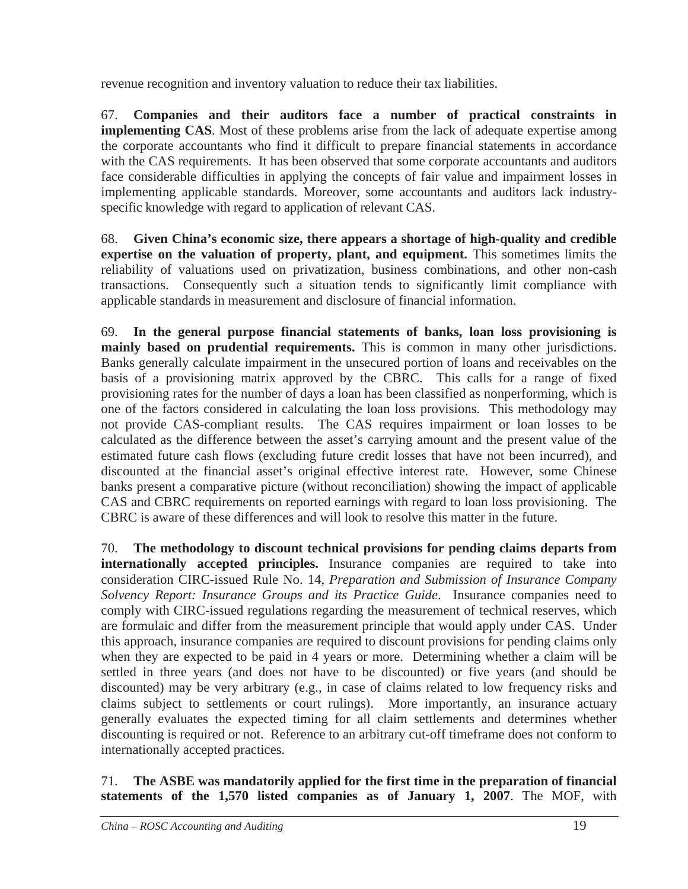revenue recognition and inventory valuation to reduce their tax liabilities.

67. **Companies and their auditors face a number of practical constraints in implementing CAS**. Most of these problems arise from the lack of adequate expertise among the corporate accountants who find it difficult to prepare financial statements in accordance with the CAS requirements. It has been observed that some corporate accountants and auditors face considerable difficulties in applying the concepts of fair value and impairment losses in implementing applicable standards. Moreover, some accountants and auditors lack industryspecific knowledge with regard to application of relevant CAS.

68. **Given China's economic size, there appears a shortage of high-quality and credible expertise on the valuation of property, plant, and equipment.** This sometimes limits the reliability of valuations used on privatization, business combinations, and other non-cash transactions. Consequently such a situation tends to significantly limit compliance with applicable standards in measurement and disclosure of financial information.

69. **In the general purpose financial statements of banks, loan loss provisioning is mainly based on prudential requirements.** This is common in many other jurisdictions. Banks generally calculate impairment in the unsecured portion of loans and receivables on the basis of a provisioning matrix approved by the CBRC. This calls for a range of fixed provisioning rates for the number of days a loan has been classified as nonperforming, which is one of the factors considered in calculating the loan loss provisions. This methodology may not provide CAS-compliant results. The CAS requires impairment or loan losses to be calculated as the difference between the asset's carrying amount and the present value of the estimated future cash flows (excluding future credit losses that have not been incurred), and discounted at the financial asset's original effective interest rate. However, some Chinese banks present a comparative picture (without reconciliation) showing the impact of applicable CAS and CBRC requirements on reported earnings with regard to loan loss provisioning. The CBRC is aware of these differences and will look to resolve this matter in the future.

70. **The methodology to discount technical provisions for pending claims departs from internationally accepted principles.** Insurance companies are required to take into consideration CIRC-issued Rule No. 14, *Preparation and Submission of Insurance Company Solvency Report: Insurance Groups and its Practice Guide*. Insurance companies need to comply with CIRC-issued regulations regarding the measurement of technical reserves, which are formulaic and differ from the measurement principle that would apply under CAS. Under this approach, insurance companies are required to discount provisions for pending claims only when they are expected to be paid in 4 years or more. Determining whether a claim will be settled in three years (and does not have to be discounted) or five years (and should be discounted) may be very arbitrary (e.g., in case of claims related to low frequency risks and claims subject to settlements or court rulings). More importantly, an insurance actuary generally evaluates the expected timing for all claim settlements and determines whether discounting is required or not. Reference to an arbitrary cut-off timeframe does not conform to internationally accepted practices.

71. **The ASBE was mandatorily applied for the first time in the preparation of financial statements of the 1,570 listed companies as of January 1, 2007**. The MOF, with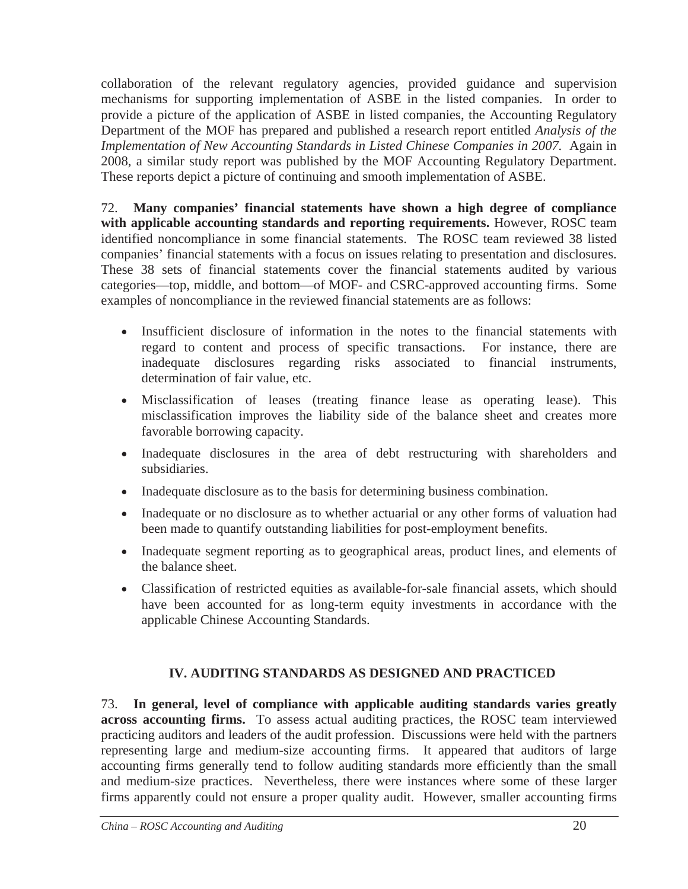collaboration of the relevant regulatory agencies, provided guidance and supervision mechanisms for supporting implementation of ASBE in the listed companies. In order to provide a picture of the application of ASBE in listed companies, the Accounting Regulatory Department of the MOF has prepared and published a research report entitled *Analysis of the Implementation of New Accounting Standards in Listed Chinese Companies in 2007.* Again in 2008, a similar study report was published by the MOF Accounting Regulatory Department. These reports depict a picture of continuing and smooth implementation of ASBE.

72. **Many companies' financial statements have shown a high degree of compliance with applicable accounting standards and reporting requirements.** However, ROSC team identified noncompliance in some financial statements. The ROSC team reviewed 38 listed companies' financial statements with a focus on issues relating to presentation and disclosures. These 38 sets of financial statements cover the financial statements audited by various categories—top, middle, and bottom—of MOF- and CSRC-approved accounting firms. Some examples of noncompliance in the reviewed financial statements are as follows:

- Insufficient disclosure of information in the notes to the financial statements with regard to content and process of specific transactions. For instance, there are inadequate disclosures regarding risks associated to financial instruments, determination of fair value, etc.
- Misclassification of leases (treating finance lease as operating lease). This misclassification improves the liability side of the balance sheet and creates more favorable borrowing capacity.
- Inadequate disclosures in the area of debt restructuring with shareholders and subsidiaries.
- Inadequate disclosure as to the basis for determining business combination.
- Inadequate or no disclosure as to whether actuarial or any other forms of valuation had been made to quantify outstanding liabilities for post-employment benefits.
- Inadequate segment reporting as to geographical areas, product lines, and elements of the balance sheet.
- Classification of restricted equities as available-for-sale financial assets, which should have been accounted for as long-term equity investments in accordance with the applicable Chinese Accounting Standards.

# **IV. AUDITING STANDARDS AS DESIGNED AND PRACTICED**

73. **In general, level of compliance with applicable auditing standards varies greatly across accounting firms.** To assess actual auditing practices, the ROSC team interviewed practicing auditors and leaders of the audit profession. Discussions were held with the partners representing large and medium-size accounting firms. It appeared that auditors of large accounting firms generally tend to follow auditing standards more efficiently than the small and medium-size practices. Nevertheless, there were instances where some of these larger firms apparently could not ensure a proper quality audit. However, smaller accounting firms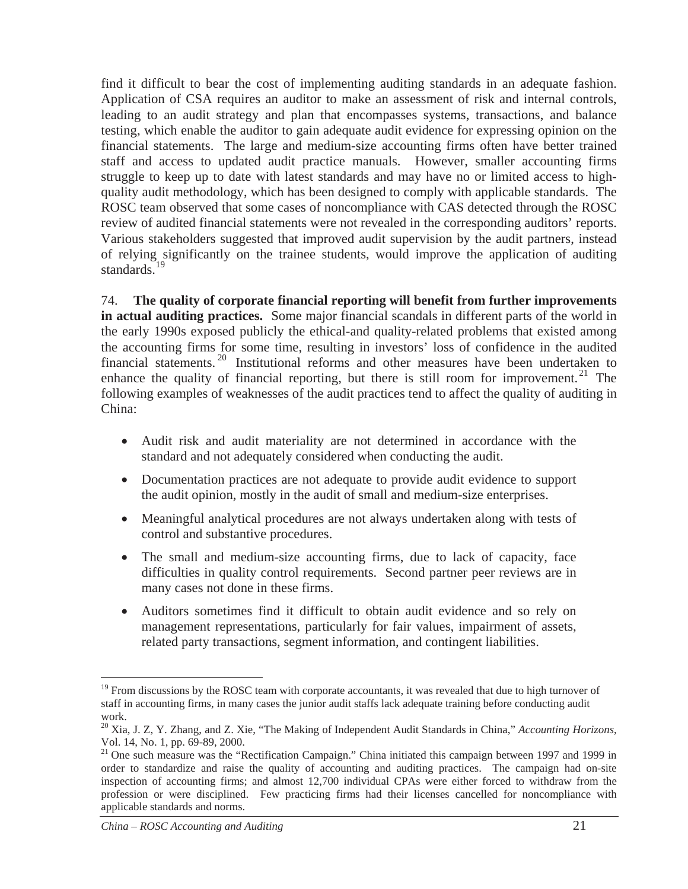find it difficult to bear the cost of implementing auditing standards in an adequate fashion. Application of CSA requires an auditor to make an assessment of risk and internal controls, leading to an audit strategy and plan that encompasses systems, transactions, and balance testing, which enable the auditor to gain adequate audit evidence for expressing opinion on the financial statements. The large and medium-size accounting firms often have better trained staff and access to updated audit practice manuals. However, smaller accounting firms struggle to keep up to date with latest standards and may have no or limited access to highquality audit methodology, which has been designed to comply with applicable standards. The ROSC team observed that some cases of noncompliance with CAS detected through the ROSC review of audited financial statements were not revealed in the corresponding auditors' reports. Various stakeholders suggested that improved audit supervision by the audit partners, instead of relying significantly on the trainee students, would improve the application of auditing standards.<sup>19</sup>

74. **The quality of corporate financial reporting will benefit from further improvements in actual auditing practices.** Some major financial scandals in different parts of the world in the early 1990s exposed publicly the ethical-and quality-related problems that existed among the accounting firms for some time, resulting in investors' loss of confidence in the audited financial statements.<sup>20</sup> Institutional reforms and other measures have been undertaken to enhance the quality of financial reporting, but there is still room for improvement.<sup>21</sup> The following examples of weaknesses of the audit practices tend to affect the quality of auditing in China:

- Audit risk and audit materiality are not determined in accordance with the standard and not adequately considered when conducting the audit.
- Documentation practices are not adequate to provide audit evidence to support the audit opinion, mostly in the audit of small and medium-size enterprises.
- Meaningful analytical procedures are not always undertaken along with tests of control and substantive procedures.
- The small and medium-size accounting firms, due to lack of capacity, face difficulties in quality control requirements. Second partner peer reviews are in many cases not done in these firms.
- Auditors sometimes find it difficult to obtain audit evidence and so rely on management representations, particularly for fair values, impairment of assets, related party transactions, segment information, and contingent liabilities.

<sup>&</sup>lt;sup>19</sup> From discussions by the ROSC team with corporate accountants, it was revealed that due to high turnover of staff in accounting firms, in many cases the junior audit staffs lack adequate training before conducting audit work.

<sup>20</sup> Xia, J. Z, Y. Zhang, and Z. Xie, "The Making of Independent Audit Standards in China," *Accounting Horizons*, Vol. 14, No. 1, pp. 69-89, 2000.

<sup>&</sup>lt;sup>21</sup> One such measure was the "Rectification Campaign." China initiated this campaign between 1997 and 1999 in order to standardize and raise the quality of accounting and auditing practices. The campaign had on-site inspection of accounting firms; and almost 12,700 individual CPAs were either forced to withdraw from the profession or were disciplined. Few practicing firms had their licenses cancelled for noncompliance with applicable standards and norms.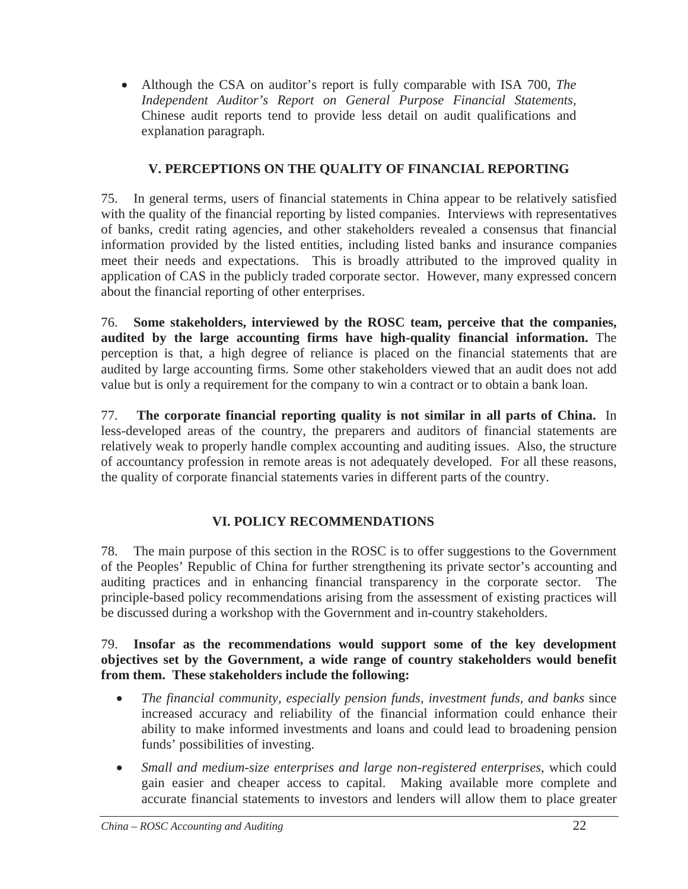• Although the CSA on auditor's report is fully comparable with ISA 700, *The Independent Auditor's Report on General Purpose Financial Statements,* Chinese audit reports tend to provide less detail on audit qualifications and explanation paragraph.

# **V. PERCEPTIONS ON THE QUALITY OF FINANCIAL REPORTING**

75. In general terms, users of financial statements in China appear to be relatively satisfied with the quality of the financial reporting by listed companies. Interviews with representatives of banks, credit rating agencies, and other stakeholders revealed a consensus that financial information provided by the listed entities, including listed banks and insurance companies meet their needs and expectations. This is broadly attributed to the improved quality in application of CAS in the publicly traded corporate sector. However, many expressed concern about the financial reporting of other enterprises.

76. **Some stakeholders, interviewed by the ROSC team, perceive that the companies, audited by the large accounting firms have high-quality financial information.** The perception is that, a high degree of reliance is placed on the financial statements that are audited by large accounting firms. Some other stakeholders viewed that an audit does not add value but is only a requirement for the company to win a contract or to obtain a bank loan.

77. **The corporate financial reporting quality is not similar in all parts of China.** In less-developed areas of the country, the preparers and auditors of financial statements are relatively weak to properly handle complex accounting and auditing issues. Also, the structure of accountancy profession in remote areas is not adequately developed. For all these reasons, the quality of corporate financial statements varies in different parts of the country.

# **VI. POLICY RECOMMENDATIONS**

78. The main purpose of this section in the ROSC is to offer suggestions to the Government of the Peoples' Republic of China for further strengthening its private sector's accounting and auditing practices and in enhancing financial transparency in the corporate sector. The principle-based policy recommendations arising from the assessment of existing practices will be discussed during a workshop with the Government and in-country stakeholders.

#### 79. **Insofar as the recommendations would support some of the key development objectives set by the Government, a wide range of country stakeholders would benefit from them. These stakeholders include the following:**

- x *The financial community, especially pension funds, investment funds, and banks* since increased accuracy and reliability of the financial information could enhance their ability to make informed investments and loans and could lead to broadening pension funds' possibilities of investing.
- Small and medium-size enterprises and large non-registered enterprises, which could gain easier and cheaper access to capital. Making available more complete and accurate financial statements to investors and lenders will allow them to place greater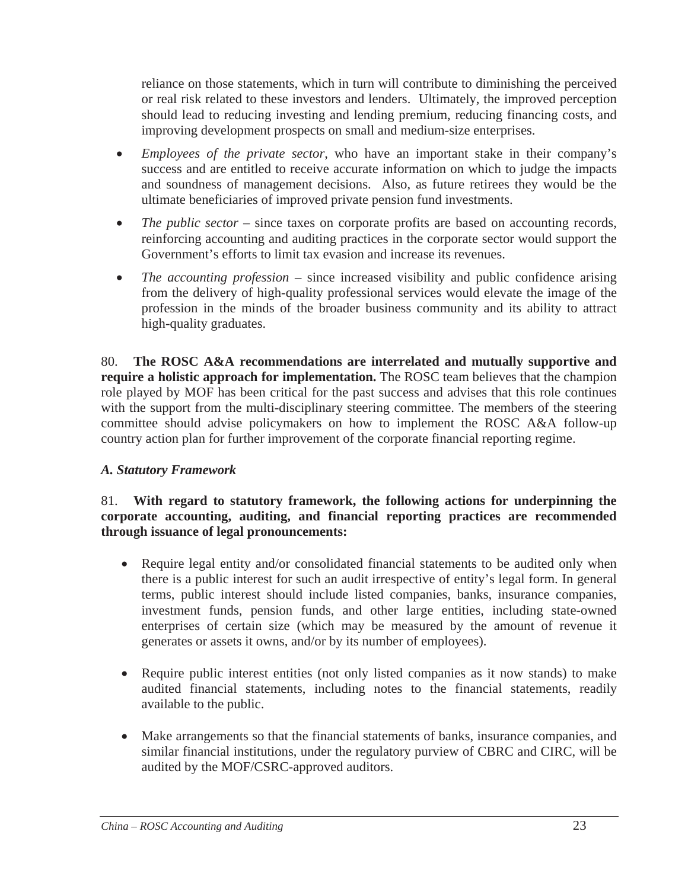reliance on those statements, which in turn will contribute to diminishing the perceived or real risk related to these investors and lenders. Ultimately, the improved perception should lead to reducing investing and lending premium, reducing financing costs, and improving development prospects on small and medium-size enterprises.

- x *Employees of the private sector*, who have an important stake in their company's success and are entitled to receive accurate information on which to judge the impacts and soundness of management decisions. Also, as future retirees they would be the ultimate beneficiaries of improved private pension fund investments.
- *The public sector* since taxes on corporate profits are based on accounting records, reinforcing accounting and auditing practices in the corporate sector would support the Government's efforts to limit tax evasion and increase its revenues.
- *The accounting profession* since increased visibility and public confidence arising from the delivery of high-quality professional services would elevate the image of the profession in the minds of the broader business community and its ability to attract high-quality graduates.

80. **The ROSC A&A recommendations are interrelated and mutually supportive and require a holistic approach for implementation.** The ROSC team believes that the champion role played by MOF has been critical for the past success and advises that this role continues with the support from the multi-disciplinary steering committee. The members of the steering committee should advise policymakers on how to implement the ROSC A&A follow-up country action plan for further improvement of the corporate financial reporting regime.

### *A. Statutory Framework*

### 81. **With regard to statutory framework, the following actions for underpinning the corporate accounting, auditing, and financial reporting practices are recommended through issuance of legal pronouncements:**

- Require legal entity and/or consolidated financial statements to be audited only when there is a public interest for such an audit irrespective of entity's legal form. In general terms, public interest should include listed companies, banks, insurance companies, investment funds, pension funds, and other large entities, including state-owned enterprises of certain size (which may be measured by the amount of revenue it generates or assets it owns, and/or by its number of employees).
- Require public interest entities (not only listed companies as it now stands) to make audited financial statements, including notes to the financial statements, readily available to the public.
- Make arrangements so that the financial statements of banks, insurance companies, and similar financial institutions, under the regulatory purview of CBRC and CIRC, will be audited by the MOF/CSRC-approved auditors.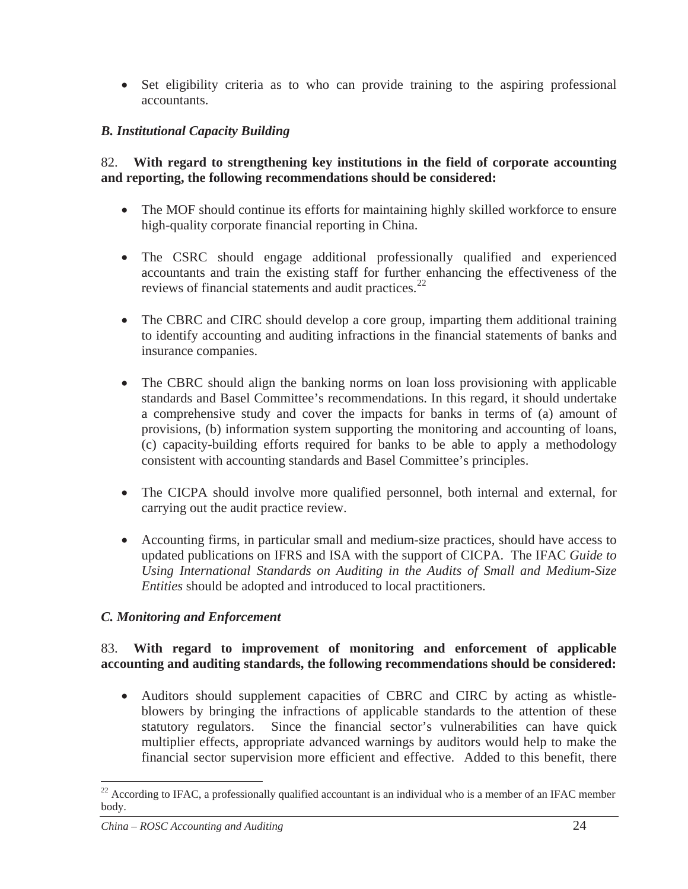• Set eligibility criteria as to who can provide training to the aspiring professional accountants.

## *B. Institutional Capacity Building*

### 82. **With regard to strengthening key institutions in the field of corporate accounting and reporting, the following recommendations should be considered:**

- The MOF should continue its efforts for maintaining highly skilled workforce to ensure high-quality corporate financial reporting in China.
- The CSRC should engage additional professionally qualified and experienced accountants and train the existing staff for further enhancing the effectiveness of the reviews of financial statements and audit practices. $^{22}$
- The CBRC and CIRC should develop a core group, imparting them additional training to identify accounting and auditing infractions in the financial statements of banks and insurance companies.
- The CBRC should align the banking norms on loan loss provisioning with applicable standards and Basel Committee's recommendations. In this regard, it should undertake a comprehensive study and cover the impacts for banks in terms of (a) amount of provisions, (b) information system supporting the monitoring and accounting of loans, (c) capacity-building efforts required for banks to be able to apply a methodology consistent with accounting standards and Basel Committee's principles.
- The CICPA should involve more qualified personnel, both internal and external, for carrying out the audit practice review.
- Accounting firms, in particular small and medium-size practices, should have access to updated publications on IFRS and ISA with the support of CICPA. The IFAC *Guide to Using International Standards on Auditing in the Audits of Small and Medium-Size Entities* should be adopted and introduced to local practitioners.

### *C. Monitoring and Enforcement*

### 83. **With regard to improvement of monitoring and enforcement of applicable accounting and auditing standards, the following recommendations should be considered:**

• Auditors should supplement capacities of CBRC and CIRC by acting as whistleblowers by bringing the infractions of applicable standards to the attention of these statutory regulators. Since the financial sector's vulnerabilities can have quick multiplier effects, appropriate advanced warnings by auditors would help to make the financial sector supervision more efficient and effective. Added to this benefit, there

<sup>&</sup>lt;sup>22</sup> According to IFAC, a professionally qualified accountant is an individual who is a member of an IFAC member body.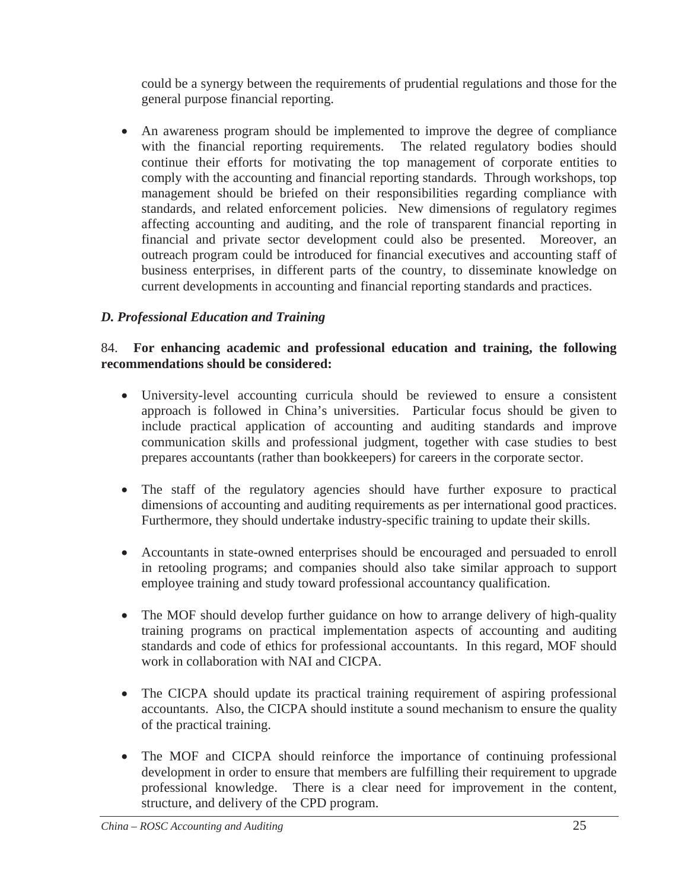could be a synergy between the requirements of prudential regulations and those for the general purpose financial reporting.

• An awareness program should be implemented to improve the degree of compliance with the financial reporting requirements. The related regulatory bodies should continue their efforts for motivating the top management of corporate entities to comply with the accounting and financial reporting standards. Through workshops, top management should be briefed on their responsibilities regarding compliance with standards, and related enforcement policies. New dimensions of regulatory regimes affecting accounting and auditing, and the role of transparent financial reporting in financial and private sector development could also be presented. Moreover, an outreach program could be introduced for financial executives and accounting staff of business enterprises, in different parts of the country, to disseminate knowledge on current developments in accounting and financial reporting standards and practices.

# *D. Professional Education and Training*

### 84. **For enhancing academic and professional education and training, the following recommendations should be considered:**

- University-level accounting curricula should be reviewed to ensure a consistent approach is followed in China's universities. Particular focus should be given to include practical application of accounting and auditing standards and improve communication skills and professional judgment, together with case studies to best prepares accountants (rather than bookkeepers) for careers in the corporate sector.
- The staff of the regulatory agencies should have further exposure to practical dimensions of accounting and auditing requirements as per international good practices. Furthermore, they should undertake industry-specific training to update their skills.
- Accountants in state-owned enterprises should be encouraged and persuaded to enroll in retooling programs; and companies should also take similar approach to support employee training and study toward professional accountancy qualification.
- The MOF should develop further guidance on how to arrange delivery of high-quality training programs on practical implementation aspects of accounting and auditing standards and code of ethics for professional accountants. In this regard, MOF should work in collaboration with NAI and CICPA.
- The CICPA should update its practical training requirement of aspiring professional accountants. Also, the CICPA should institute a sound mechanism to ensure the quality of the practical training.
- The MOF and CICPA should reinforce the importance of continuing professional development in order to ensure that members are fulfilling their requirement to upgrade professional knowledge. There is a clear need for improvement in the content, structure, and delivery of the CPD program.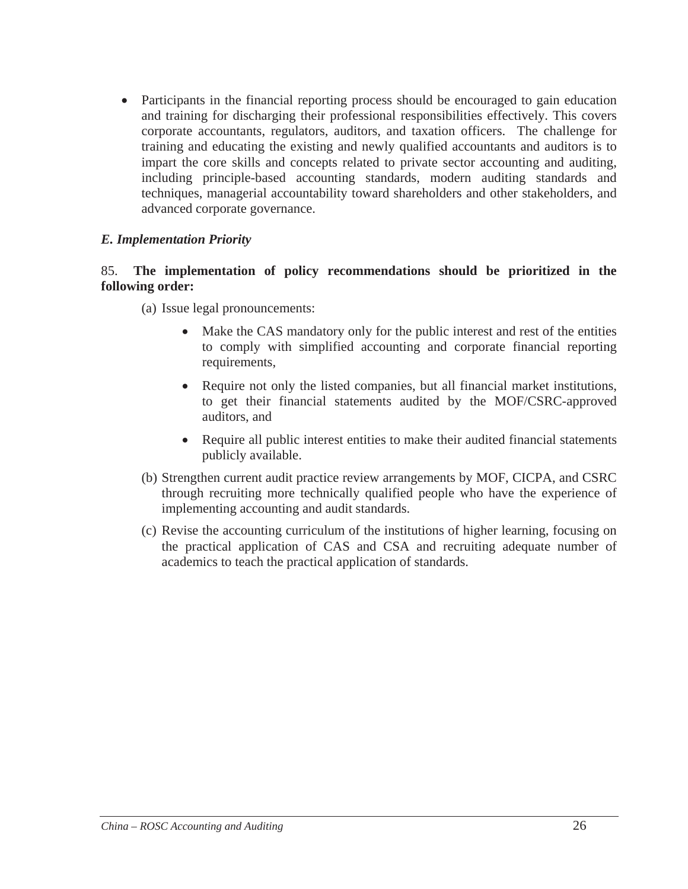• Participants in the financial reporting process should be encouraged to gain education and training for discharging their professional responsibilities effectively. This covers corporate accountants, regulators, auditors, and taxation officers. The challenge for training and educating the existing and newly qualified accountants and auditors is to impart the core skills and concepts related to private sector accounting and auditing, including principle-based accounting standards, modern auditing standards and techniques, managerial accountability toward shareholders and other stakeholders, and advanced corporate governance.

#### *E. Implementation Priority*

#### 85. **The implementation of policy recommendations should be prioritized in the following order:**

- (a) Issue legal pronouncements:
	- Make the CAS mandatory only for the public interest and rest of the entities to comply with simplified accounting and corporate financial reporting requirements,
	- Require not only the listed companies, but all financial market institutions, to get their financial statements audited by the MOF/CSRC-approved auditors, and
	- Require all public interest entities to make their audited financial statements publicly available.
- (b) Strengthen current audit practice review arrangements by MOF, CICPA, and CSRC through recruiting more technically qualified people who have the experience of implementing accounting and audit standards.
- (c) Revise the accounting curriculum of the institutions of higher learning, focusing on the practical application of CAS and CSA and recruiting adequate number of academics to teach the practical application of standards.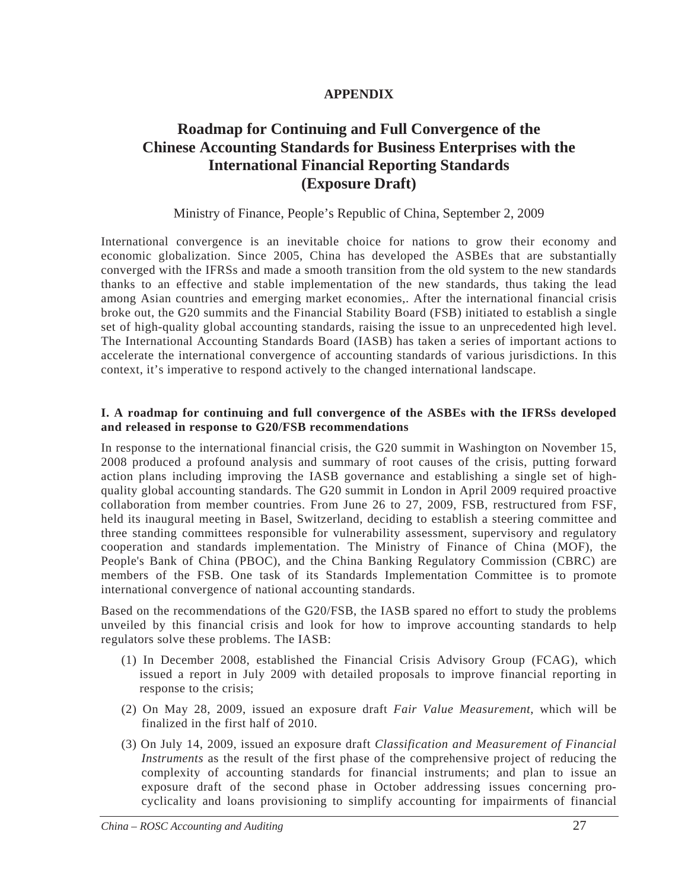#### **APPENDIX**

# **Roadmap for Continuing and Full Convergence of the Chinese Accounting Standards for Business Enterprises with the International Financial Reporting Standards (Exposure Draft)**

#### Ministry of Finance, People's Republic of China, September 2, 2009

International convergence is an inevitable choice for nations to grow their economy and economic globalization. Since 2005, China has developed the ASBEs that are substantially converged with the IFRSs and made a smooth transition from the old system to the new standards thanks to an effective and stable implementation of the new standards, thus taking the lead among Asian countries and emerging market economies,. After the international financial crisis broke out, the G20 summits and the Financial Stability Board (FSB) initiated to establish a single set of high-quality global accounting standards, raising the issue to an unprecedented high level. The International Accounting Standards Board (IASB) has taken a series of important actions to accelerate the international convergence of accounting standards of various jurisdictions. In this context, it's imperative to respond actively to the changed international landscape.

#### **I. A roadmap for continuing and full convergence of the ASBEs with the IFRSs developed and released in response to G20/FSB recommendations**

In response to the international financial crisis, the G20 summit in Washington on November 15, 2008 produced a profound analysis and summary of root causes of the crisis, putting forward action plans including improving the IASB governance and establishing a single set of highquality global accounting standards. The G20 summit in London in April 2009 required proactive collaboration from member countries. From June 26 to 27, 2009, FSB, restructured from FSF, held its inaugural meeting in Basel, Switzerland, deciding to establish a steering committee and three standing committees responsible for vulnerability assessment, supervisory and regulatory cooperation and standards implementation. The Ministry of Finance of China (MOF), the People's Bank of China (PBOC), and the China Banking Regulatory Commission (CBRC) are members of the FSB. One task of its Standards Implementation Committee is to promote international convergence of national accounting standards.

Based on the recommendations of the G20/FSB, the IASB spared no effort to study the problems unveiled by this financial crisis and look for how to improve accounting standards to help regulators solve these problems. The IASB:

- (1) In December 2008, established the Financial Crisis Advisory Group (FCAG), which issued a report in July 2009 with detailed proposals to improve financial reporting in response to the crisis;
- (2) On May 28, 2009, issued an exposure draft *Fair Value Measurement*, which will be finalized in the first half of 2010.
- (3) On July 14, 2009, issued an exposure draft *Classification and Measurement of Financial Instruments* as the result of the first phase of the comprehensive project of reducing the complexity of accounting standards for financial instruments; and plan to issue an exposure draft of the second phase in October addressing issues concerning procyclicality and loans provisioning to simplify accounting for impairments of financial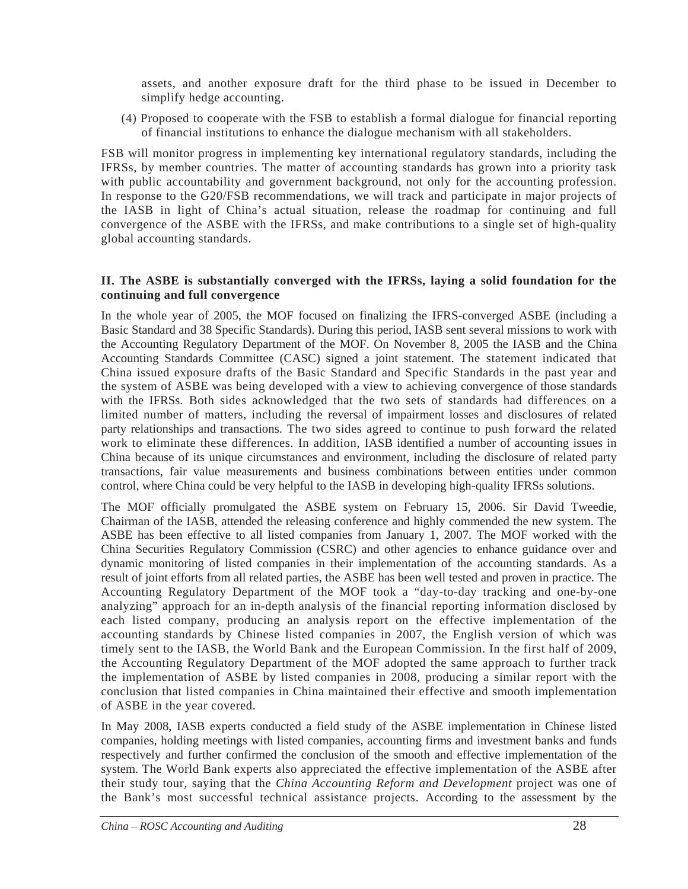assets, and another exposure draft for the third phase to be issued in December to simplify hedge accounting.

(4) Proposed to cooperate with the FSB to establish a formal dialogue for financial reporting of financial institutions to enhance the dialogue mechanism with all stakeholders.

FSB will monitor progress in implementing key international regulatory standards, including the IFRSs, by member countries. The matter of accounting standards has grown into a priority task with public accountability and government background, not only for the accounting profession. In response to the G20/FSB recommendations, we will track and participate in major projects of the IASB in light of China's actual situation, release the roadmap for continuing and full convergence of the ASBE with the IFRSs, and make contributions to a single set of high-quality global accounting standards.

#### **II. The ASBE is substantially converged with the IFRSs, laying a solid foundation for the continuing and full convergence**

In the whole year of 2005, the MOF focused on finalizing the IFRS-converged ASBE (including a Basic Standard and 38 Specific Standards). During this period, IASB sent several missions to work with the Accounting Regulatory Department of the MOF. On November 8, 2005 the IASB and the China Accounting Standards Committee (CASC) signed a joint statement. The statement indicated that China issued exposure drafts of the Basic Standard and Specific Standards in the past year and the system of ASBE was being developed with a view to achieving convergence of those standards with the IFRSs. Both sides acknowledged that the two sets of standards had differences on a limited number of matters, including the reversal of impairment losses and disclosures of related party relationships and transactions. The two sides agreed to continue to push forward the related work to eliminate these differences. In addition, IASB identified a number of accounting issues in China because of its unique circumstances and environment, including the disclosure of related party transactions, fair value measurements and business combinations between entities under common control, where China could be very helpful to the IASB in developing high-quality IFRSs solutions.

The MOF officially promulgated the ASBE system on February 15, 2006. Sir David Tweedie, Chairman of the IASB, attended the releasing conference and highly commended the new system. The ASBE has been effective to all listed companies from January 1, 2007. The MOF worked with the China Securities Regulatory Commission (CSRC) and other agencies to enhance guidance over and dynamic monitoring of listed companies in their implementation of the accounting standards. As a result of joint efforts from all related parties, the ASBE has been well tested and proven in practice. The Accounting Regulatory Department of the MOF took a "day-to-day tracking and one-by-one analyzing" approach for an in-depth analysis of the financial reporting information disclosed by each listed company, producing an analysis report on the effective implementation of the accounting standards by Chinese listed companies in 2007, the English version of which was timely sent to the IASB, the World Bank and the European Commission. In the first half of 2009, the Accounting Regulatory Department of the MOF adopted the same approach to further track the implementation of ASBE by listed companies in 2008, producing a similar report with the conclusion that listed companies in China maintained their effective and smooth implementation of ASBE in the year covered.

In May 2008, IASB experts conducted a field study of the ASBE implementation in Chinese listed companies, holding meetings with listed companies, accounting firms and investment banks and funds respectively and further confirmed the conclusion of the smooth and effective implementation of the system. The World Bank experts also appreciated the effective implementation of the ASBE after their study tour, saying that the *China Accounting Reform and Development* project was one of the Bank's most successful technical assistance projects. According to the assessment by the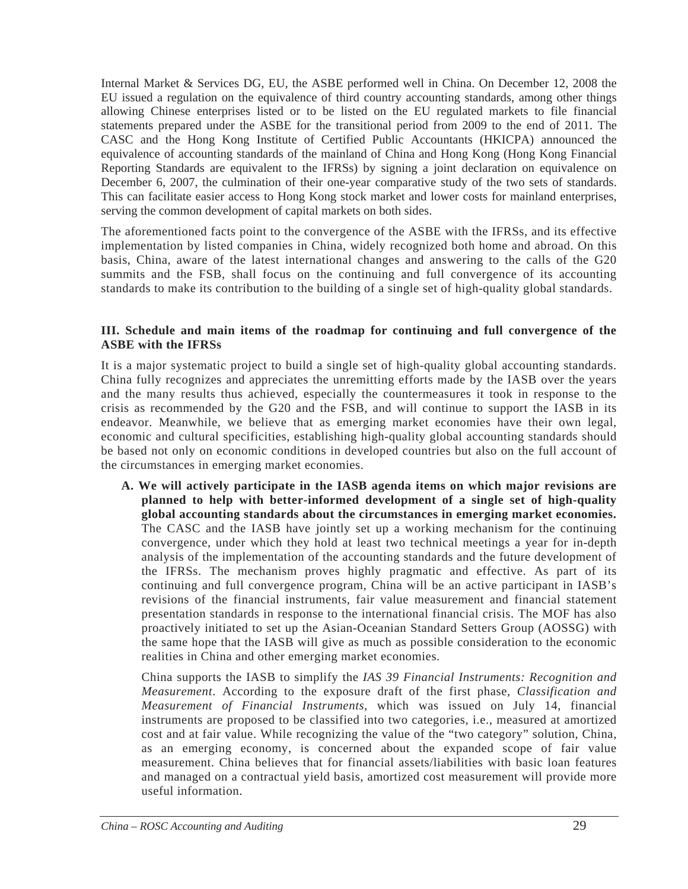Internal Market & Services DG, EU, the ASBE performed well in China. On December 12, 2008 the EU issued a regulation on the equivalence of third country accounting standards, among other things allowing Chinese enterprises listed or to be listed on the EU regulated markets to file financial statements prepared under the ASBE for the transitional period from 2009 to the end of 2011. The CASC and the Hong Kong Institute of Certified Public Accountants (HKICPA) announced the equivalence of accounting standards of the mainland of China and Hong Kong (Hong Kong Financial Reporting Standards are equivalent to the IFRSs) by signing a joint declaration on equivalence on December 6, 2007, the culmination of their one-year comparative study of the two sets of standards. This can facilitate easier access to Hong Kong stock market and lower costs for mainland enterprises, serving the common development of capital markets on both sides.

The aforementioned facts point to the convergence of the ASBE with the IFRSs, and its effective implementation by listed companies in China, widely recognized both home and abroad. On this basis, China, aware of the latest international changes and answering to the calls of the G20 summits and the FSB, shall focus on the continuing and full convergence of its accounting standards to make its contribution to the building of a single set of high-quality global standards.

#### **III. Schedule and main items of the roadmap for continuing and full convergence of the ASBE with the IFRSs**

It is a major systematic project to build a single set of high-quality global accounting standards. China fully recognizes and appreciates the unremitting efforts made by the IASB over the years and the many results thus achieved, especially the countermeasures it took in response to the crisis as recommended by the G20 and the FSB, and will continue to support the IASB in its endeavor. Meanwhile, we believe that as emerging market economies have their own legal, economic and cultural specificities, establishing high-quality global accounting standards should be based not only on economic conditions in developed countries but also on the full account of the circumstances in emerging market economies.

**A. We will actively participate in the IASB agenda items on which major revisions are planned to help with better-informed development of a single set of high-quality global accounting standards about the circumstances in emerging market economies.** The CASC and the IASB have jointly set up a working mechanism for the continuing convergence, under which they hold at least two technical meetings a year for in-depth analysis of the implementation of the accounting standards and the future development of the IFRSs. The mechanism proves highly pragmatic and effective. As part of its continuing and full convergence program, China will be an active participant in IASB's revisions of the financial instruments, fair value measurement and financial statement presentation standards in response to the international financial crisis. The MOF has also proactively initiated to set up the Asian-Oceanian Standard Setters Group (AOSSG) with the same hope that the IASB will give as much as possible consideration to the economic realities in China and other emerging market economies.

China supports the IASB to simplify the *IAS 39 Financial Instruments: Recognition and Measurement*. According to the exposure draft of the first phase, *Classification and Measurement of Financial Instruments*, which was issued on July 14, financial instruments are proposed to be classified into two categories, i.e., measured at amortized cost and at fair value. While recognizing the value of the "two category" solution, China, as an emerging economy, is concerned about the expanded scope of fair value measurement. China believes that for financial assets/liabilities with basic loan features and managed on a contractual yield basis, amortized cost measurement will provide more useful information.